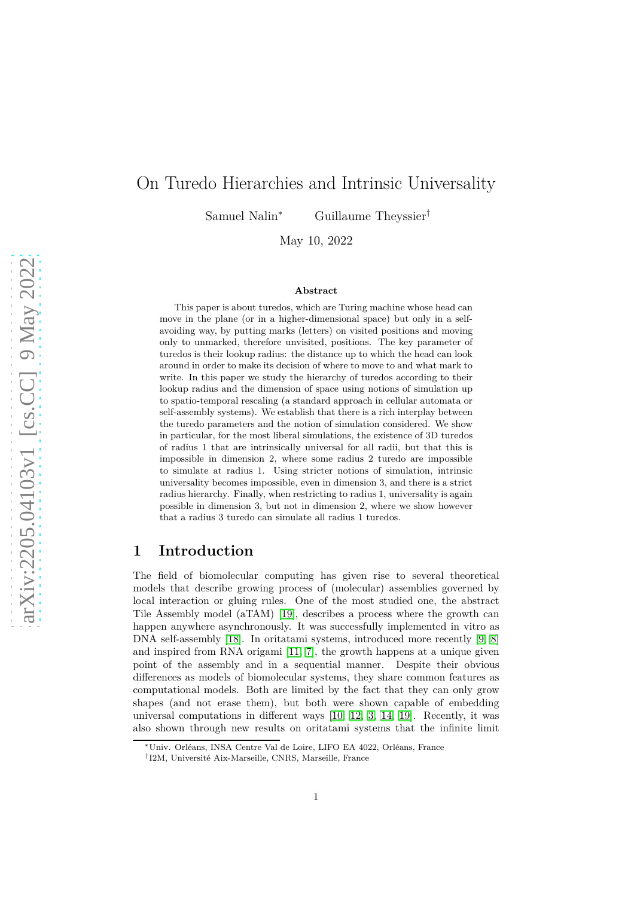# On Turedo Hierarchies and Intrinsic Universality

Samuel Nalin<sup>∗</sup> Guillaume Theyssier†

May 10, 2022

#### **Abstract**

This paper is about turedos, which are Turing machine whose head can move in the plane (or in a higher-dimensional space) but only in a selfavoiding way, by putting marks (letters) on visited positions and moving only to unmarked, therefore unvisited, positions. The key parameter of turedos is their lookup radius: the distance up to which the head can look around in order to make its decision of where to move to and what mark to write. In this paper we study the hierarchy of turedos according to their lookup radius and the dimension of space using notions of simulation up to spatio-temporal rescaling (a standard approach in cellular automata or self-assembly systems). We establish that there is a rich interplay between the turedo parameters and the notion of simulation considered. We show in particular, for the most liberal simulations, the existence of 3D turedos of radius 1 that are intrinsically universal for all radii, but that this is impossible in dimension 2, where some radius 2 turedo are impossible to simulate at radius 1. Using stricter notions of simulation, intrinsic universality becomes impossible, even in dimension 3, and there is a strict radius hierarchy. Finally, when restricting to radius 1, universality is again possible in dimension 3, but not in dimension 2, where we show however that a radius 3 turedo can simulate all radius 1 turedos.

### **1 Introduction**

The field of biomolecular computing has given rise to several theoretical models that describe growing process of (molecular) assemblies governed by local interaction or gluing rules. One of the most studied one, the abstract Tile Assembly model (aTAM) [\[19\]](#page-21-0), describes a process where the growth can happen anywhere asynchronously. It was successfully implemented in vitro as DNA self-assembly [\[18\]](#page-21-1). In oritatami systems, introduced more recently [\[9,](#page-20-0) [8\]](#page-20-1) and inspired from RNA origami [\[11,](#page-20-2) [7\]](#page-20-3), the growth happens at a unique given point of the assembly and in a sequential manner. Despite their obvious differences as models of biomolecular systems, they share common features as computational models. Both are limited by the fact that they can only grow shapes (and not erase them), but both were shown capable of embedding universal computations in different ways [\[10,](#page-20-4) [12,](#page-20-5) [3,](#page-19-0) [14,](#page-20-6) [19\]](#page-21-0). Recently, it was also shown through new results on oritatami systems that the infinite limit

<sup>∗</sup>Univ. Orléans, INSA Centre Val de Loire, LIFO EA 4022, Orléans, France

<sup>†</sup> I2M, Université Aix-Marseille, CNRS, Marseille, France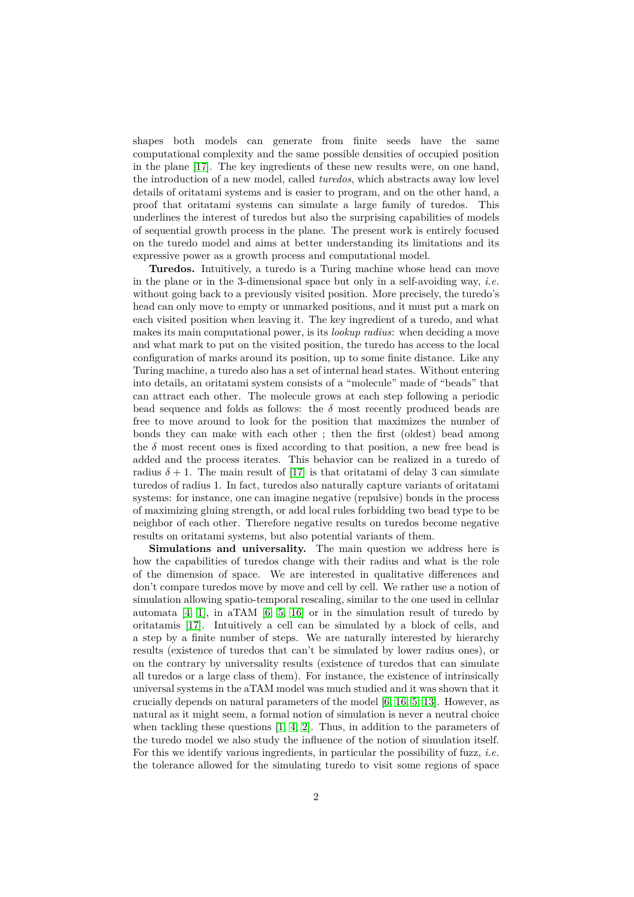shapes both models can generate from finite seeds have the same computational complexity and the same possible densities of occupied position in the plane [\[17\]](#page-21-2). The key ingredients of these new results were, on one hand, the introduction of a new model, called *turedos*, which abstracts away low level details of oritatami systems and is easier to program, and on the other hand, a proof that oritatami systems can simulate a large family of turedos. This underlines the interest of turedos but also the surprising capabilities of models of sequential growth process in the plane. The present work is entirely focused on the turedo model and aims at better understanding its limitations and its expressive power as a growth process and computational model.

**Turedos.** Intuitively, a turedo is a Turing machine whose head can move in the plane or in the 3-dimensional space but only in a self-avoiding way, *i.e.* without going back to a previously visited position. More precisely, the turedo's head can only move to empty or unmarked positions, and it must put a mark on each visited position when leaving it. The key ingredient of a turedo, and what makes its main computational power, is its *lookup radius*: when deciding a move and what mark to put on the visited position, the turedo has access to the local configuration of marks around its position, up to some finite distance. Like any Turing machine, a turedo also has a set of internal head states. Without entering into details, an oritatami system consists of a "molecule" made of "beads" that can attract each other. The molecule grows at each step following a periodic bead sequence and folds as follows: the  $\delta$  most recently produced beads are free to move around to look for the position that maximizes the number of bonds they can make with each other ; then the first (oldest) bead among the  $\delta$  most recent ones is fixed according to that position, a new free bead is added and the process iterates. This behavior can be realized in a turedo of radius  $\delta + 1$ . The main result of [\[17\]](#page-21-2) is that oritatami of delay 3 can simulate turedos of radius 1. In fact, turedos also naturally capture variants of oritatami systems: for instance, one can imagine negative (repulsive) bonds in the process of maximizing gluing strength, or add local rules forbidding two bead type to be neighbor of each other. Therefore negative results on turedos become negative results on oritatami systems, but also potential variants of them.

**Simulations and universality.** The main question we address here is how the capabilities of turedos change with their radius and what is the role of the dimension of space. We are interested in qualitative differences and don't compare turedos move by move and cell by cell. We rather use a notion of simulation allowing spatio-temporal rescaling, similar to the one used in cellular automata  $[4, 1]$  $[4, 1]$ , in aTAM  $[6, 5, 16]$  $[6, 5, 16]$  $[6, 5, 16]$  or in the simulation result of turedo by oritatamis [\[17\]](#page-21-2). Intuitively a cell can be simulated by a block of cells, and a step by a finite number of steps. We are naturally interested by hierarchy results (existence of turedos that can't be simulated by lower radius ones), or on the contrary by universality results (existence of turedos that can simulate all turedos or a large class of them). For instance, the existence of intrinsically universal systems in the aTAM model was much studied and it was shown that it crucially depends on natural parameters of the model [\[6,](#page-19-3) [16,](#page-20-7) [5,](#page-19-4) [13\]](#page-20-8). However, as natural as it might seem, a formal notion of simulation is never a neutral choice when tackling these questions [\[1,](#page-19-2) [4,](#page-19-1) [2\]](#page-19-5). Thus, in addition to the parameters of the turedo model we also study the influence of the notion of simulation itself. For this we identify various ingredients, in particular the possibility of fuzz, *i.e.* the tolerance allowed for the simulating turedo to visit some regions of space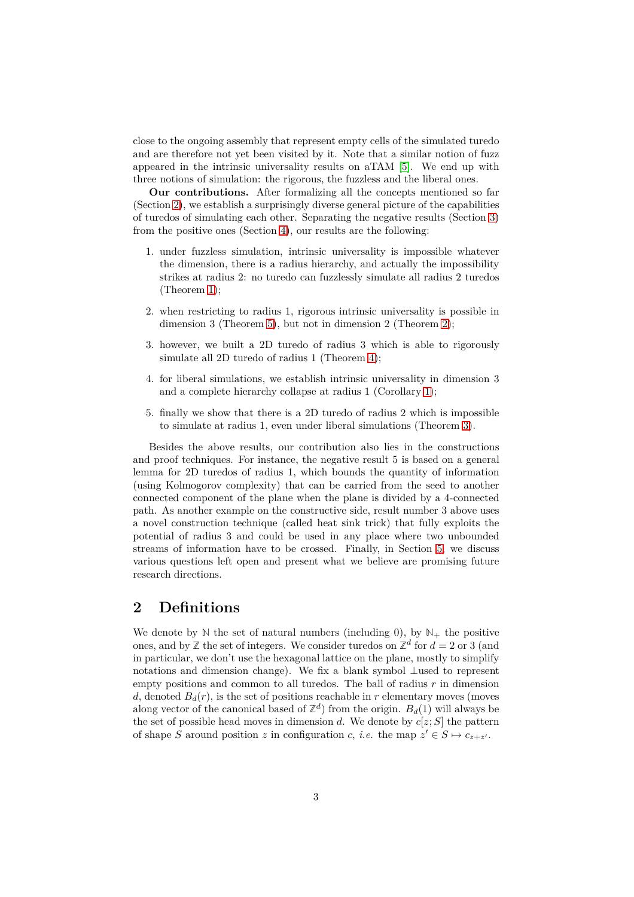close to the ongoing assembly that represent empty cells of the simulated turedo and are therefore not yet been visited by it. Note that a similar notion of fuzz appeared in the intrinsic universality results on aTAM [\[5\]](#page-19-4). We end up with three notions of simulation: the rigorous, the fuzzless and the liberal ones.

**Our contributions.** After formalizing all the concepts mentioned so far (Section [2\)](#page-2-0), we establish a surprisingly diverse general picture of the capabilities of turedos of simulating each other. Separating the negative results (Section [3\)](#page-6-0) from the positive ones (Section [4\)](#page-13-0), our results are the following:

- 1. under fuzzless simulation, intrinsic universality is impossible whatever the dimension, there is a radius hierarchy, and actually the impossibility strikes at radius 2: no turedo can fuzzlessly simulate all radius 2 turedos (Theorem [1\)](#page-6-1);
- 2. when restricting to radius 1, rigorous intrinsic universality is possible in dimension 3 (Theorem [5\)](#page-16-0), but not in dimension 2 (Theorem [2\)](#page-8-0);
- 3. however, we built a 2D turedo of radius 3 which is able to rigorously simulate all 2D turedo of radius 1 (Theorem [4\)](#page-13-1);
- 4. for liberal simulations, we establish intrinsic universality in dimension 3 and a complete hierarchy collapse at radius 1 (Corollary [1\)](#page-18-0);
- 5. finally we show that there is a 2D turedo of radius 2 which is impossible to simulate at radius 1, even under liberal simulations (Theorem [3\)](#page-11-0).

Besides the above results, our contribution also lies in the constructions and proof techniques. For instance, the negative result 5 is based on a general lemma for 2D turedos of radius 1, which bounds the quantity of information (using Kolmogorov complexity) that can be carried from the seed to another connected component of the plane when the plane is divided by a 4-connected path. As another example on the constructive side, result number 3 above uses a novel construction technique (called heat sink trick) that fully exploits the potential of radius 3 and could be used in any place where two unbounded streams of information have to be crossed. Finally, in Section [5,](#page-18-1) we discuss various questions left open and present what we believe are promising future research directions.

# <span id="page-2-0"></span>**2 Definitions**

We denote by  $\mathbb N$  the set of natural numbers (including 0), by  $\mathbb N_+$  the positive ones, and by  $\mathbb{Z}$  the set of integers. We consider turedos on  $\mathbb{Z}^d$  for  $d = 2$  or 3 (and in particular, we don't use the hexagonal lattice on the plane, mostly to simplify notations and dimension change). We fix a blank symbol ⊥used to represent empty positions and common to all turedos. The ball of radius *r* in dimension *d*, denoted  $B_d(r)$ , is the set of positions reachable in *r* elementary moves (moves along vector of the canonical based of  $\mathbb{Z}^d$ ) from the origin.  $B_d(1)$  will always be the set of possible head moves in dimension *d*. We denote by  $c[z; S]$  the pattern of shape *S* around position *z* in configuration *c*, *i.e.* the map  $z' \in S \mapsto c_{z+z'}$ .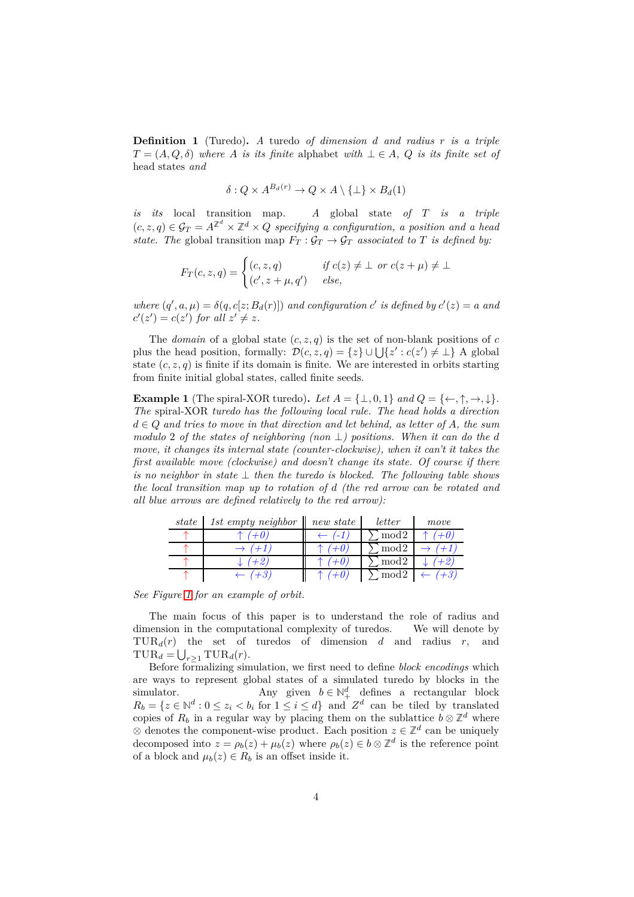**Definition 1** (Turedo)**.** *A* turedo *of dimension d and radius r is a triple*  $T = (A, Q, \delta)$  *where A is its finite* alphabet *with*  $\bot \in A$ *, Q is its finite set of* head states *and*

$$
\delta: Q \times A^{B_d(r)} \to Q \times A \setminus \{\perp\} \times B_d(1)
$$

*is its* local transition map*. A* global state *of T is a triple*  $(c, z, q) \in \mathcal{G}_T = A^{\mathbb{Z}^d} \times \mathbb{Z}^d \times Q$  specifying a configuration, a position and a head *state. The* global transition map  $F_T: \mathcal{G}_T \to \mathcal{G}_T$  associated to T is defined by:

$$
F_T(c, z, q) = \begin{cases} (c, z, q) & \text{if } c(z) \neq \bot \text{ or } c(z + \mu) \neq \bot \\ (c', z + \mu, q') & \text{else,} \end{cases}
$$

*where*  $(q', a, \mu) = \delta(q, c[z; B_d(r)])$  *and configuration c*' *is defined by*  $c'(z) = a$  *and*  $c'(z') = c(z')$  for all  $z' \neq z$ .

The *domain* of a global state  $(c, z, q)$  is the set of non-blank positions of c plus the head position, formally:  $\mathcal{D}(c, z, q) = \{z\} \cup \bigcup \{z' : c(z') \neq \bot\}$  A global state  $(c, z, q)$  is finite if its domain is finite. We are interested in orbits starting from finite initial global states, called finite seeds.

<span id="page-3-0"></span>**Example 1** (The spiral-XOR turedo). Let  $A = \{\perp, 0, 1\}$  and  $Q = \{\leftarrow, \uparrow, \rightarrow, \downarrow\}$ . *The* spiral-XOR *turedo has the following local rule. The head holds a direction d* ∈ *Q and tries to move in that direction and let behind, as letter of A, the sum modulo* 2 *of the states of neighboring (non* ⊥*) positions. When it can do the d move, it changes its internal state (counter-clockwise), when it can't it takes the first available move (clockwise) and doesn't change its state. Of course if there is no neighbor in state* ⊥ *then the turedo is blocked. The following table shows the local transition map up to rotation of d (the red arrow can be rotated and all blue arrows are defined relatively to the red arrow):*

| state | 1st empty neighbor $\parallel$ | new state | letter           | move |
|-------|--------------------------------|-----------|------------------|------|
|       | $+0.$                          |           | mod <sub>2</sub> |      |
|       |                                |           | mod <sub>2</sub> |      |
|       |                                |           | mod <sub>2</sub> |      |
|       | റ                              |           | mod2             |      |

*See Figure [1](#page-4-0) for an example of orbit.*

The main focus of this paper is to understand the role of radius and dimension in the computational complexity of turedos. We will denote by TUR*d*(*r*) the set of turedos of dimension *d* and radius *r*, and  $\text{TUR}_d = \bigcup_{r \geq 1} \text{TUR}_d(r).$ 

Before formalizing simulation, we first need to define *block encodings* which are ways to represent global states of a simulated turedo by blocks in the simulator. Any given  $b \in \mathbb{N}^d_+$  defines a rectangular block  $R_b = \{z \in \mathbb{N}^d : 0 \leq z_i < b_i \text{ for } 1 \leq i \leq d\}$  and  $Z^d$  can be tiled by translated copies of  $R_b$  in a regular way by placing them on the sublattice  $b \otimes \mathbb{Z}^d$  where ⊗ denotes the component-wise product. Each position  $z \in \mathbb{Z}^d$  can be uniquely decomposed into  $z = \rho_b(z) + \mu_b(z)$  where  $\rho_b(z) \in b \otimes \mathbb{Z}^d$  is the reference point of a block and  $\mu_b(z) \in R_b$  is an offset inside it.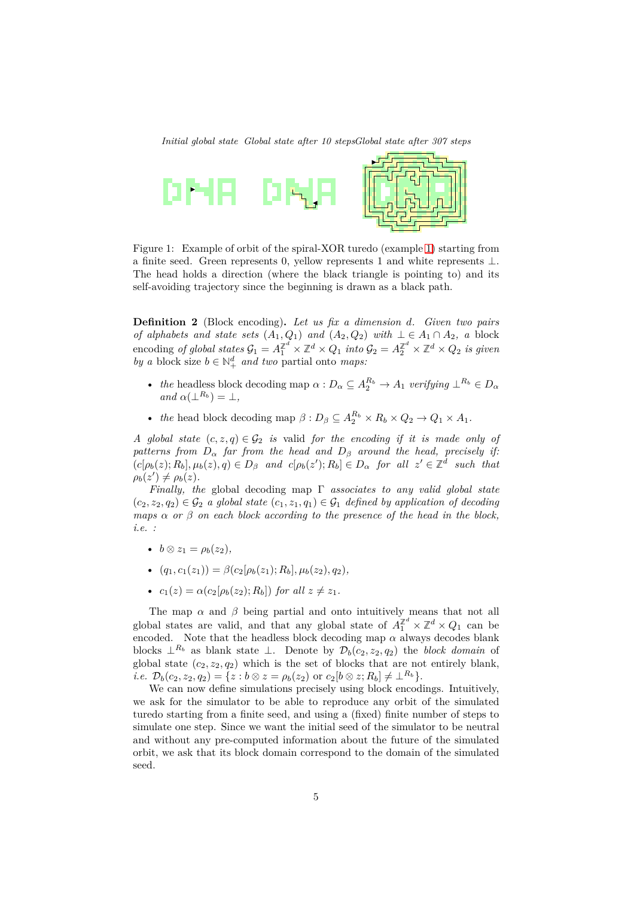<span id="page-4-0"></span>*Initial global state Global state after 10 stepsGlobal state after 307 steps*



Figure 1: Example of orbit of the spiral-XOR turedo (example [1\)](#page-3-0) starting from a finite seed. Green represents 0, yellow represents 1 and white represents ⊥. The head holds a direction (where the black triangle is pointing to) and its self-avoiding trajectory since the beginning is drawn as a black path.

**Definition 2** (Block encoding)**.** *Let us fix a dimension d. Given two pairs of alphabets and state sets*  $(A_1, Q_1)$  *and*  $(A_2, Q_2)$  *with*  $\bot \in A_1 \cap A_2$ *, a* block  $\text{encoding of global states } \mathcal{G}_1 = A_1^{\mathbb{Z}^d} \times \mathbb{Z}^d \times Q_1 \text{ into } \mathcal{G}_2 = A_2^{\mathbb{Z}^d} \times \mathbb{Z}^d \times Q_2 \text{ is given}$ *by a* block size  $b \in \mathbb{N}^d_+$  *and two* partial onto *maps:* 

- *the* headless block decoding map  $\alpha : D_{\alpha} \subseteq A_2^{R_b} \to A_1$  verifying  $\perp^{R_b} \in D_{\alpha}$  $and \alpha(\perp^{R_b}) = \perp$ ,
- *the* head block decoding map  $\beta : D_{\beta} \subseteq A_2^{R_b} \times R_b \times Q_2 \to Q_1 \times A_1$ .

*A* global state  $(c, z, q) \in \mathcal{G}_2$  *is* valid *for the encoding if it is made only of patterns from*  $D_{\alpha}$  *far from the head and*  $D_{\beta}$  *around the head, precisely if:*  $(c[\rho_b(z); R_b], \mu_b(z), q) \in D_\beta$  and  $c[\rho_b(z'); R_b] \in D_\alpha$  for all  $z' \in \mathbb{Z}^d$  such that  $\rho_b(z') \neq \rho_b(z)$ .

*Finally, the* global decoding map Γ *associates to any valid global state*  $(c_2, z_2, q_2) \in \mathcal{G}_2$  *a global state*  $(c_1, z_1, q_1) \in \mathcal{G}_1$  *defined by application of decoding maps*  $\alpha$  *or*  $\beta$  *on each block according to the presence of the head in the block, i.e. :*

- $b \otimes z_1 = \rho_b(z_2)$ ,
- $(q_1, c_1(z_1)) = \beta(c_2[\rho_b(z_1); R_b], \mu_b(z_2), q_2)$
- $c_1(z) = \alpha(c_2[\rho_b(z_2); R_b])$  *for all*  $z \neq z_1$ *.*

The map  $\alpha$  and  $\beta$  being partial and onto intuitively means that not all global states are valid, and that any global state of  $A_1^{\mathbb{Z}^d} \times \mathbb{Z}^d \times Q_1$  can be encoded. Note that the headless block decoding map  $\alpha$  always decodes blank blocks  $\perp^{R_b}$  as blank state ⊥. Denote by  $\mathcal{D}_b(c_2, z_2, q_2)$  the *block domain* of global state  $(c_2, z_2, q_2)$  which is the set of blocks that are not entirely blank, *i.e.*  $\mathcal{D}_b(c_2, z_2, q_2) = \{z : b \otimes z = \rho_b(z_2) \text{ or } c_2[b \otimes z; R_b] \neq \perp^{R_b}\}.$ 

We can now define simulations precisely using block encodings. Intuitively, we ask for the simulator to be able to reproduce any orbit of the simulated turedo starting from a finite seed, and using a (fixed) finite number of steps to simulate one step. Since we want the initial seed of the simulator to be neutral and without any pre-computed information about the future of the simulated orbit, we ask that its block domain correspond to the domain of the simulated seed.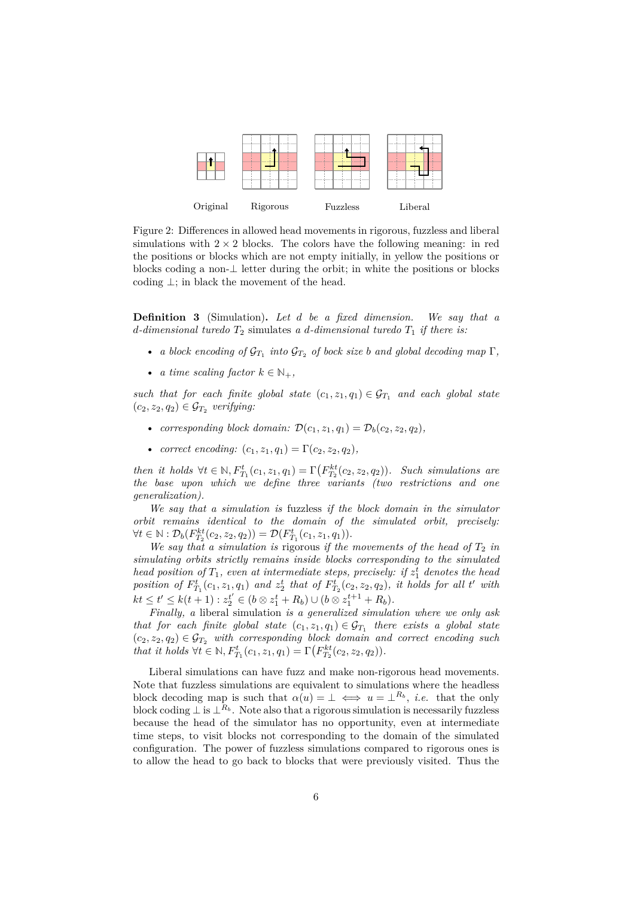

Figure 2: Differences in allowed head movements in rigorous, fuzzless and liberal simulations with  $2 \times 2$  blocks. The colors have the following meaning: in red the positions or blocks which are not empty initially, in yellow the positions or blocks coding a non- $\perp$  letter during the orbit; in white the positions or blocks coding  $\perp$ ; in black the movement of the head.

**Definition 3** (Simulation)**.** *Let d be a fixed dimension. We say that a d*-dimensional turedo  $T_2$  simulates *a d*-dimensional turedo  $T_1$  *if there is:* 

- *a block encoding of*  $\mathcal{G}_{T_1}$  *into*  $\mathcal{G}_{T_2}$  *of bock size b and global decoding map*  $\Gamma$ *,*
- *a time scaling factor*  $k \in \mathbb{N}_+$ ,

*such that for each finite global state*  $(c_1, z_1, q_1) \in \mathcal{G}_{T_1}$  *and each global state*  $(c_2, z_2, q_2) \in \mathcal{G}_{T_2}$  verifying:

- *corresponding block domain:*  $\mathcal{D}(c_1, z_1, q_1) = \mathcal{D}_b(c_2, z_2, q_2)$ ,
- *correct encoding:*  $(c_1, z_1, q_1) = \Gamma(c_2, z_2, q_2)$ ,

*then it holds*  $\forall t \in \mathbb{N}, F^t_{T_1}(c_1, z_1, q_1) = \Gamma(F^{kt}_{T_2}(c_2, z_2, q_2))$ *. Such simulations are the base upon which we define three variants (two restrictions and one generalization).*

*We say that a simulation is* fuzzless *if the block domain in the simulator orbit remains identical to the domain of the simulated orbit, precisely:*  $\forall t \in \mathbb{N} : \mathcal{D}_b(F_{T_2}^{kt}(c_2, z_2, q_2)) = \mathcal{D}(F_{T_1}^t(c_1, z_1, q_1)).$ 

We say that a simulation is rigorous if the movements of the head of  $T_2$  in *simulating orbits strictly remains inside blocks corresponding to the simulated head position of*  $T_1$ *, even at intermediate steps, precisely: if*  $z_1^t$  *denotes the head* position of  $F_{T_1}^t(c_1, z_1, q_1)$  and  $z_2^t$  that of  $F_{T_2}^t(c_2, z_2, q_2)$ , it holds for all t' with  $kt \leq t' \leq k(t+1) : z_2^{t'} \in (b \otimes z_1^t + R_b) \cup (b \otimes z_1^{t+1} + R_b).$ 

*Finally, a* liberal simulation *is a generalized simulation where we only ask that for each finite global state*  $(c_1, z_1, q_1) \in \mathcal{G}_{T_1}$  *there exists a global state*  $(c_2, z_2, q_2) \in \mathcal{G}_{T_2}$  *with corresponding block domain and correct encoding such that it holds*  $\forall t \in \mathbb{N}, F^t_{T_1}(c_1, z_1, q_1) = \Gamma(F^{kt}_{T_2}(c_2, z_2, q_2)).$ 

Liberal simulations can have fuzz and make non-rigorous head movements. Note that fuzzless simulations are equivalent to simulations where the headless block decoding map is such that  $\alpha(u) = \perp \iff u = \perp^{R_b}$ , *i.e.* that the only block coding  $\perp$  is  $\perp^{R_b}$ . Note also that a rigorous simulation is necessarily fuzzless because the head of the simulator has no opportunity, even at intermediate time steps, to visit blocks not corresponding to the domain of the simulated configuration. The power of fuzzless simulations compared to rigorous ones is to allow the head to go back to blocks that were previously visited. Thus the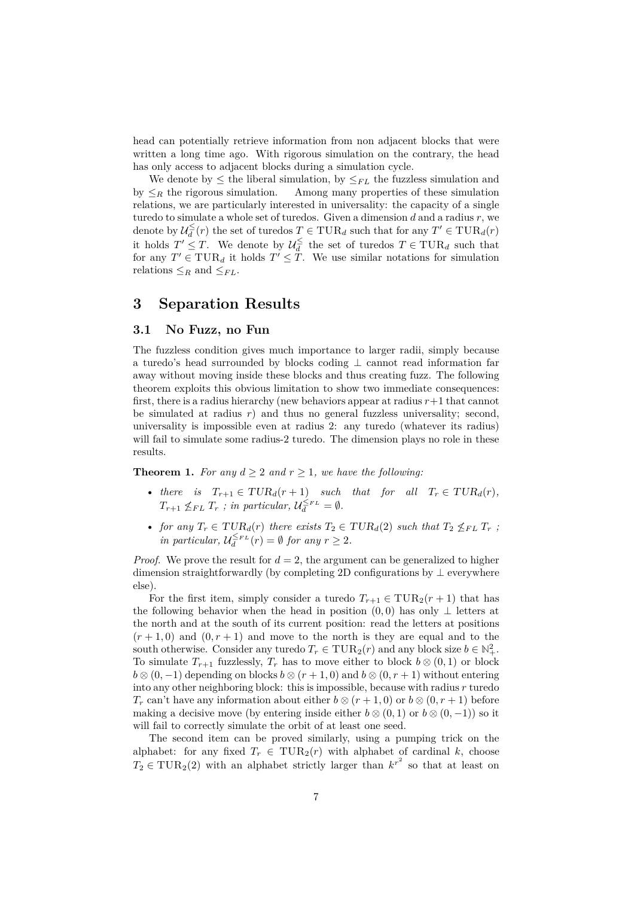head can potentially retrieve information from non adjacent blocks that were written a long time ago. With rigorous simulation on the contrary, the head has only access to adjacent blocks during a simulation cycle.

We denote by  $\leq$  the liberal simulation, by  $\leq_{FL}$  the fuzzless simulation and by  $\leq_R$  the rigorous simulation. Among many properties of these simulation relations, we are particularly interested in universality: the capacity of a single turedo to simulate a whole set of turedos. Given a dimension *d* and a radius *r*, we denote by  $\mathcal{U}_{d}^{\leq}(r)$  the set of turedos  $T \in \text{TUR}_{d}$  such that for any  $T' \in \text{TUR}_{d}(r)$ it holds  $T' \leq T$ . We denote by  $\mathcal{U}_d^{\leq}$  the set of turedos  $T \in \text{TUR}_d$  such that for any  $T' \in \text{TUR}_d$  it holds  $T' \leq T$ . We use similar notations for simulation relations  $\leq_R$  and  $\leq_{FL}$ .

# <span id="page-6-0"></span>**3 Separation Results**

### **3.1 No Fuzz, no Fun**

The fuzzless condition gives much importance to larger radii, simply because a turedo's head surrounded by blocks coding ⊥ cannot read information far away without moving inside these blocks and thus creating fuzz. The following theorem exploits this obvious limitation to show two immediate consequences: first, there is a radius hierarchy (new behaviors appear at radius *r*+1 that cannot be simulated at radius *r*) and thus no general fuzzless universality; second, universality is impossible even at radius 2: any turedo (whatever its radius) will fail to simulate some radius-2 turedo. The dimension plays no role in these results.

<span id="page-6-1"></span>**Theorem 1.** For any  $d \geq 2$  and  $r \geq 1$ , we have the following:

- *there is*  $T_{r+1} \in TUR_d(r+1)$  *such that for all*  $T_r \in TUR_d(r)$ *,*  $T_{r+1} \nleq_{FL} T_r$ ; in particular,  $\mathcal{U}_d^{\leq_{FL}} = \emptyset$ .
- *for any*  $T_r \in TUR_d(r)$  *there exists*  $T_2 \in TUR_d(2)$  *such that*  $T_2 \nleq_{FL} T_r$ ; *in particular,*  $\mathcal{U}_{d}^{\leq F}L(r) = \emptyset$  *for any*  $r \geq 2$ *.*

*Proof.* We prove the result for  $d = 2$ , the argument can be generalized to higher dimension straightforwardly (by completing 2D configurations by ⊥ everywhere else).

For the first item, simply consider a turedo  $T_{r+1} \in \text{TUR}_2(r+1)$  that has the following behavior when the head in position  $(0,0)$  has only ⊥ letters at the north and at the south of its current position: read the letters at positions  $(r+1,0)$  and  $(0,r+1)$  and move to the north is they are equal and to the south otherwise. Consider any turedo  $T_r \in \text{TUR}_2(r)$  and any block size  $b \in \mathbb{N}^2_+$ . To simulate  $T_{r+1}$  fuzzlessly,  $T_r$  has to move either to block  $b \otimes (0,1)$  or block  $b \otimes (0, -1)$  depending on blocks  $b \otimes (r + 1, 0)$  and  $b \otimes (0, r + 1)$  without entering into any other neighboring block: this is impossible, because with radius *r* turedo *T<sub>r</sub>* can't have any information about either  $b \otimes (r + 1, 0)$  or  $b \otimes (0, r + 1)$  before making a decisive move (by entering inside either  $b \otimes (0,1)$  or  $b \otimes (0,-1)$ ) so it will fail to correctly simulate the orbit of at least one seed.

The second item can be proved similarly, using a pumping trick on the alphabet: for any fixed  $T_r \in \text{TUR}_2(r)$  with alphabet of cardinal *k*, choose  $T_2 \in \text{TUR}_2(2)$  with an alphabet strictly larger than  $k^{r^2}$  so that at least on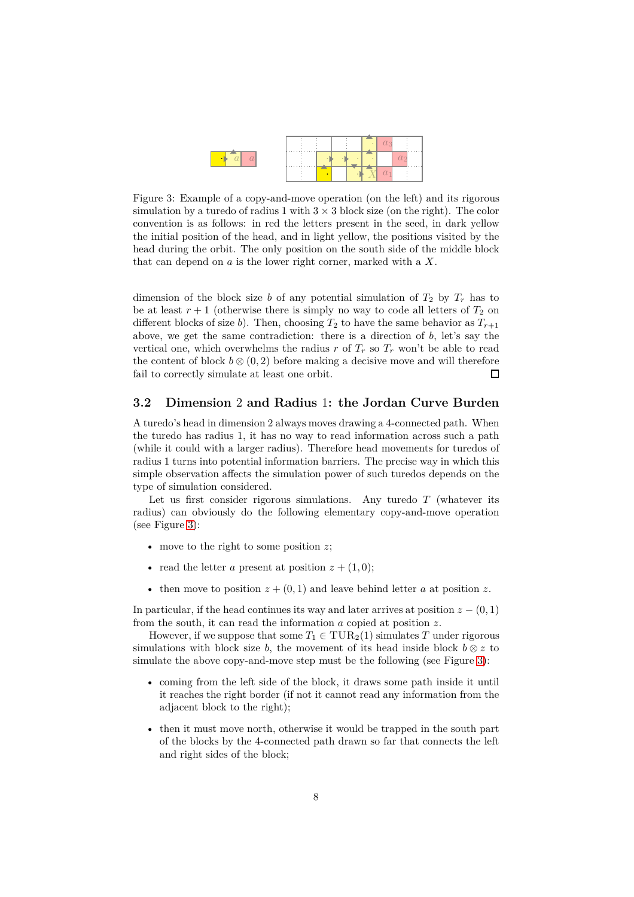<span id="page-7-0"></span>

Figure 3: Example of a copy-and-move operation (on the left) and its rigorous simulation by a turedo of radius 1 with  $3 \times 3$  block size (on the right). The color convention is as follows: in red the letters present in the seed, in dark yellow the initial position of the head, and in light yellow, the positions visited by the head during the orbit. The only position on the south side of the middle block that can depend on *a* is the lower right corner, marked with a *X*.

dimension of the block size *b* of any potential simulation of  $T_2$  by  $T_r$  has to be at least  $r + 1$  (otherwise there is simply no way to code all letters of  $T_2$  on different blocks of size *b*). Then, choosing  $T_2$  to have the same behavior as  $T_{r+1}$ above, we get the same contradiction: there is a direction of *b*, let's say the vertical one, which overwhelms the radius  $r$  of  $T_r$  so  $T_r$  won't be able to read the content of block  $b \otimes (0, 2)$  before making a decisive move and will therefore fail to correctly simulate at least one orbit.  $\Box$ 

### **3.2 Dimension** 2 **and Radius** 1**: the Jordan Curve Burden**

A turedo's head in dimension 2 always moves drawing a 4-connected path. When the turedo has radius 1, it has no way to read information across such a path (while it could with a larger radius). Therefore head movements for turedos of radius 1 turns into potential information barriers. The precise way in which this simple observation affects the simulation power of such turedos depends on the type of simulation considered.

Let us first consider rigorous simulations. Any turedo *T* (whatever its radius) can obviously do the following elementary copy-and-move operation (see Figure [3\)](#page-7-0):

- move to the right to some position *z*;
- read the letter *a* present at position  $z + (1, 0)$ ;
- then move to position  $z + (0, 1)$  and leave behind letter *a* at position *z*.

In particular, if the head continues its way and later arrives at position  $z - (0, 1)$ from the south, it can read the information *a* copied at position *z*.

However, if we suppose that some  $T_1 \in \text{TUR}_2(1)$  simulates *T* under rigorous simulations with block size *b*, the movement of its head inside block  $b \otimes z$  to simulate the above copy-and-move step must be the following (see Figure [3\)](#page-7-0):

- coming from the left side of the block, it draws some path inside it until it reaches the right border (if not it cannot read any information from the adjacent block to the right);
- then it must move north, otherwise it would be trapped in the south part of the blocks by the 4-connected path drawn so far that connects the left and right sides of the block;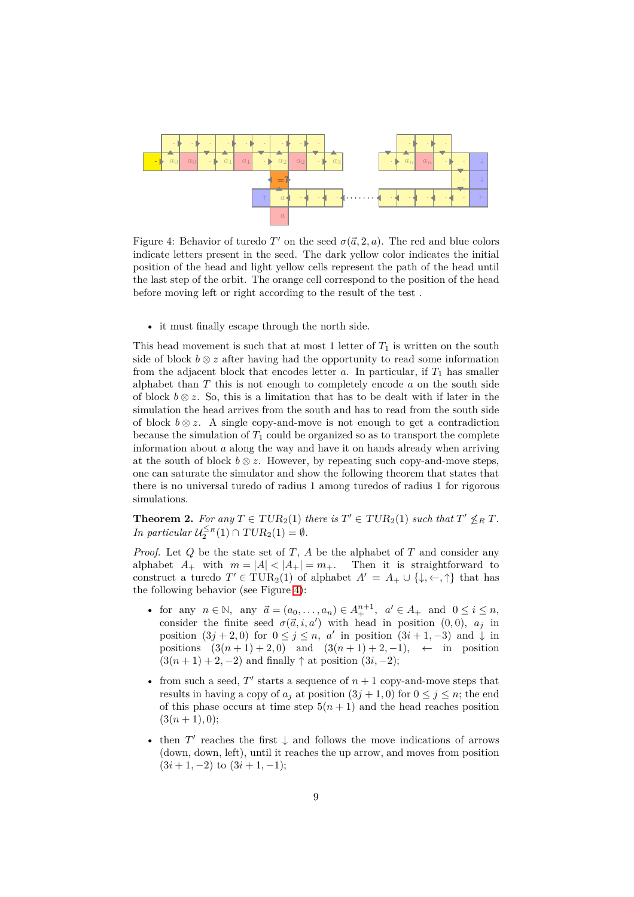<span id="page-8-1"></span>

Figure 4: Behavior of turedo  $T'$  on the seed  $\sigma(\vec{a}, 2, a)$ . The red and blue colors indicate letters present in the seed. The dark yellow color indicates the initial position of the head and light yellow cells represent the path of the head until the last step of the orbit. The orange cell correspond to the position of the head before moving left or right according to the result of the test .

• it must finally escape through the north side.

This head movement is such that at most 1 letter of  $T_1$  is written on the south side of block  $b \otimes z$  after having had the opportunity to read some information from the adjacent block that encodes letter  $a$ . In particular, if  $T_1$  has smaller alphabet than *T* this is not enough to completely encode *a* on the south side of block  $b \otimes z$ . So, this is a limitation that has to be dealt with if later in the simulation the head arrives from the south and has to read from the south side of block  $b \otimes z$ . A single copy-and-move is not enough to get a contradiction because the simulation of  $T_1$  could be organized so as to transport the complete information about *a* along the way and have it on hands already when arriving at the south of block  $b \otimes z$ . However, by repeating such copy-and-move steps, one can saturate the simulator and show the following theorem that states that there is no universal turedo of radius 1 among turedos of radius 1 for rigorous simulations.

<span id="page-8-0"></span>**Theorem 2.** For any  $T \in TUR_2(1)$  there is  $T' \in TUR_2(1)$  such that  $T' \nleq_R T$ . *In particular*  $\mathcal{U}_2^{\leq R}(1) \cap TUR_2(1) = \emptyset$ .

*Proof.* Let *Q* be the state set of *T* , *A* be the alphabet of *T* and consider any alphabet  $A_+$  with  $m = |A| < |A_+| = m_+$ . Then it is straightforward to construct a turedo  $T' \in \text{TUR}_2(1)$  of alphabet  $A' = A_+ \cup \{\downarrow, \leftarrow, \uparrow\}$  that has the following behavior (see Figure [4\)](#page-8-1):

- for any  $n \in \mathbb{N}$ , any  $\vec{a} = (a_0, \ldots, a_n) \in A_+^{n+1}$ ,  $a' \in A_+$  and  $0 \le i \le n$ , consider the finite seed  $\sigma(\vec{a}, i, a')$  with head in position (0,0),  $a_j$  in position  $(3j + 2, 0)$  for  $0 \le j \le n$ , *a*' in position  $(3i + 1, -3)$  and  $\downarrow$  in positions  $(3(n+1)+2,0)$  and  $(3(n+1)+2,-1)$ , ← in position  $(3(n+1) + 2, -2)$  and finally  $\uparrow$  at position  $(3i, -2)$ ;
- from such a seed,  $T'$  starts a sequence of  $n + 1$  copy-and-move steps that results in having a copy of  $a_j$  at position  $(3j + 1, 0)$  for  $0 \le j \le n$ ; the end of this phase occurs at time step  $5(n+1)$  and the head reaches position  $(3(n+1), 0)$ ;
- then  $T'$  reaches the first  $\downarrow$  and follows the move indications of arrows (down, down, left), until it reaches the up arrow, and moves from position  $(3i + 1, -2)$  to  $(3i + 1, -1)$ ;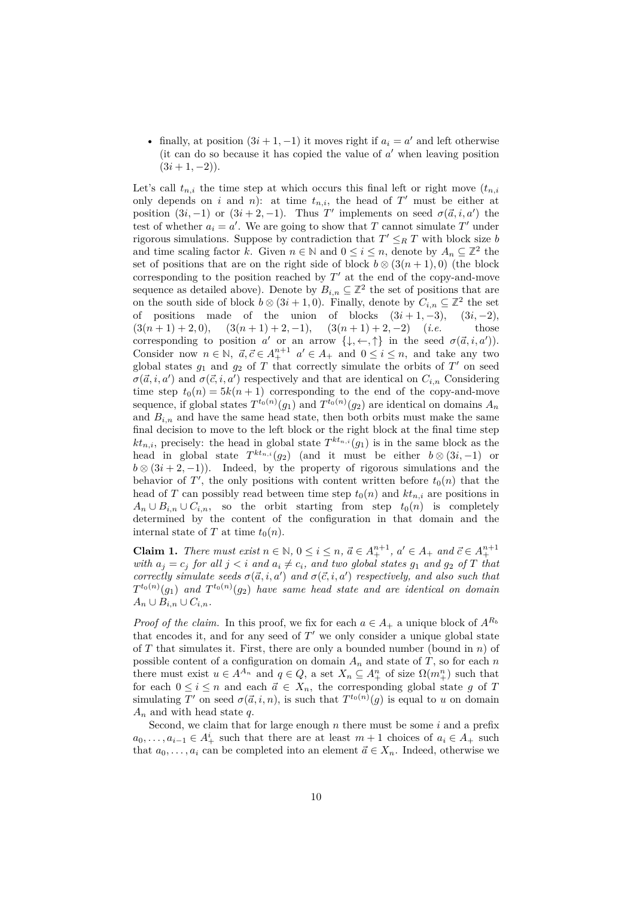• finally, at position  $(3i + 1, -1)$  it moves right if  $a_i = a'$  and left otherwise (it can do so because it has copied the value of *a* ′ when leaving position  $(3i+1,-2)$ .

Let's call  $t_{n,i}$  the time step at which occurs this final left or right move  $(t_{n,i})$ only depends on *i* and *n*): at time  $t_{n,i}$ , the head of  $T'$  must be either at position  $(3i, -1)$  or  $(3i + 2, -1)$ . Thus *T'* implements on seed  $\sigma(\vec{a}, i, a')$  the test of whether  $a_i = a'$ . We are going to show that *T* cannot simulate *T'* under rigorous simulations. Suppose by contradiction that  $T' \leq_R T$  with block size *b* and time scaling factor *k*. Given  $n \in \mathbb{N}$  and  $0 \le i \le n$ , denote by  $A_n \subseteq \mathbb{Z}^2$  the set of positions that are on the right side of block  $b \otimes (3(n+1), 0)$  (the block corresponding to the position reached by  $T'$  at the end of the copy-and-move sequence as detailed above). Denote by  $B_{i,n} \subseteq \mathbb{Z}^2$  the set of positions that are on the south side of block  $b \otimes (3i + 1, 0)$ . Finally, denote by  $C_{i,n} \subseteq \mathbb{Z}^2$  the set of positions made of the union of blocks  $(3i + 1, -3), (3i, -2),$  $(3(n+1)+2,0), (3(n+1)+2,-1), (3(n+1)+2,-2)$  (*i.e.* those corresponding to position *a'* or an arrow  $\{\downarrow, \leftarrow, \uparrow\}$  in the seed  $\sigma(\vec{a}, i, a')$ . Consider now  $n \in \mathbb{N}$ ,  $\vec{a}, \vec{c} \in A^{n+1}_+$   $a' \in A_+$  and  $0 \leq i \leq n$ , and take any two global states  $g_1$  and  $g_2$  of  $T$  that correctly simulate the orbits of  $T'$  on seed  $\sigma(\vec{a}, i, a')$  and  $\sigma(\vec{c}, i, a')$  respectively and that are identical on  $C_{i,n}$  Considering time step  $t_0(n) = 5k(n + 1)$  corresponding to the end of the copy-and-move sequence, if global states  $T^{t_0(n)}(g_1)$  and  $T^{t_0(n)}(g_2)$  are identical on domains  $A_n$ and  $B_{i,n}$  and have the same head state, then both orbits must make the same final decision to move to the left block or the right block at the final time step  $k t_{n,i}$ , precisely: the head in global state  $T^{k t_{n,i}}(g_1)$  is in the same block as the head in global state  $T^{kt_{n,i}}(g_2)$  (and it must be either  $b \otimes (3i, -1)$  or  $b \otimes (3i + 2, -1)$ ). Indeed, by the property of rigorous simulations and the behavior of  $T'$ , the only positions with content written before  $t_0(n)$  that the head of *T* can possibly read between time step  $t_0(n)$  and  $kt_{n,i}$  are positions in  $A_n \cup B_{i,n} \cup C_{i,n}$ , so the orbit starting from step  $t_0(n)$  is completely determined by the content of the configuration in that domain and the internal state of *T* at time  $t_0(n)$ .

**Claim 1.** *There must exist*  $n \in \mathbb{N}$ ,  $0 \le i \le n$ ,  $\vec{a} \in A^{n+1}_+$ ,  $a' \in A_+$  and  $\vec{c} \in A^{n+1}_+$ *with*  $a_j = c_j$  *for all*  $j < i$  *and*  $a_i \neq c_i$ *, and two global states*  $g_1$  *and*  $g_2$  *of T that correctly simulate seeds*  $\sigma(\vec{a}, i, a')$  *and*  $\sigma(\vec{c}, i, a')$  *respectively, and also such that*  $T^{t_0(n)}(g_1)$  and  $T^{t_0(n)}(g_2)$  have same head state and are identical on domain  $A_n \cup B_{i,n} \cup C_{i,n}$ .

*Proof of the claim.* In this proof, we fix for each  $a \in A_+$  a unique block of  $A^{R_b}$ that encodes it, and for any seed of  $T'$  we only consider a unique global state of *T* that simulates it. First, there are only a bounded number (bound in *n*) of possible content of a configuration on domain  $A_n$  and state of  $T$ , so for each  $n$ there must exist  $u \in A^{A_n}$  and  $q \in Q$ , a set  $X_n \subseteq A^n_+$  of size  $\Omega(m^n_+)$  such that for each  $0 \leq i \leq n$  and each  $\vec{a} \in X_n$ , the corresponding global state g of T simulating *T'* on seed  $\sigma(\vec{a}, i, n)$ , is such that  $T^{t_0(n)}(g)$  is equal to *u* on domain *A<sup>n</sup>* and with head state *q*.

Second, we claim that for large enough *n* there must be some *i* and a prefix  $a_0, \ldots, a_{i-1} \in A^i_+$  such that there are at least  $m+1$  choices of  $a_i \in A_+$  such that  $a_0, \ldots, a_i$  can be completed into an element  $\vec{a} \in X_n$ . Indeed, otherwise we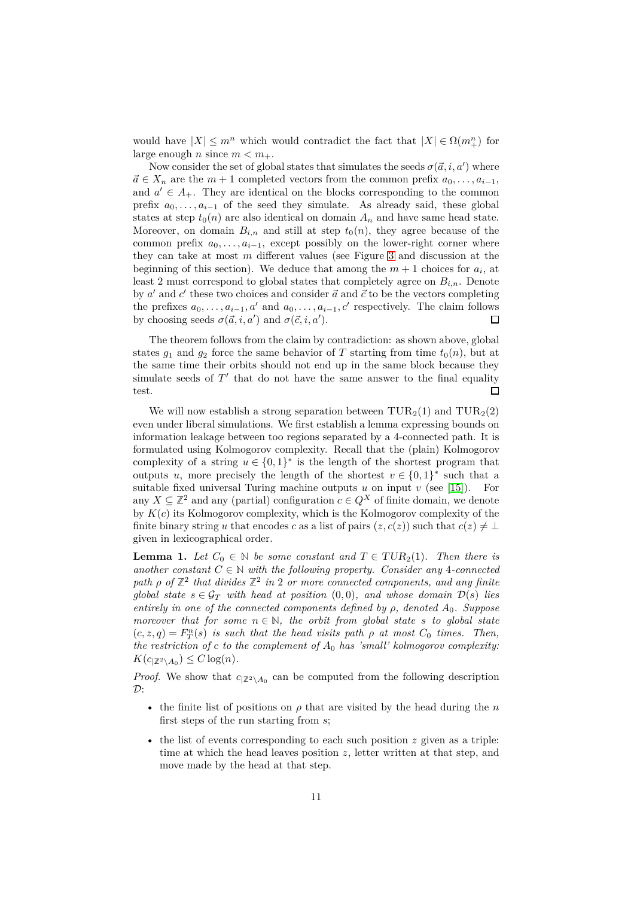would have  $|X| \leq m^n$  which would contradict the fact that  $|X| \in \Omega(m^n)$  for large enough *n* since  $m < m_+$ .

Now consider the set of global states that simulates the seeds  $\sigma(\vec{a}, i, a')$  where  $\vec{a} \in X_n$  are the  $m+1$  completed vectors from the common prefix  $a_0, \ldots, a_{i-1}$ , and  $a' \in A_+$ . They are identical on the blocks corresponding to the common prefix  $a_0, \ldots, a_{i-1}$  of the seed they simulate. As already said, these global states at step  $t_0(n)$  are also identical on domain  $A_n$  and have same head state. Moreover, on domain  $B_{i,n}$  and still at step  $t_0(n)$ , they agree because of the common prefix  $a_0, \ldots, a_{i-1}$ , except possibly on the lower-right corner where they can take at most *m* different values (see Figure [3](#page-7-0) and discussion at the beginning of this section). We deduce that among the  $m + 1$  choices for  $a_i$ , at least 2 must correspond to global states that completely agree on *Bi,n*. Denote by  $a'$  and  $c'$  these two choices and consider  $\vec{a}$  and  $\vec{c}$  to be the vectors completing the prefixes  $a_0, \ldots, a_{i-1}, a'$  and  $a_0, \ldots, a_{i-1}, c'$  respectively. The claim follows by choosing seeds  $\sigma(\vec{a}, i, a')$  and  $\sigma(\vec{c}, i, a')$ .  $\Box$ 

The theorem follows from the claim by contradiction: as shown above, global states  $g_1$  and  $g_2$  force the same behavior of *T* starting from time  $t_0(n)$ , but at the same time their orbits should not end up in the same block because they simulate seeds of  $T'$  that do not have the same answer to the final equality test.  $\Box$ 

We will now establish a strong separation between  $\text{TUR}_2(1)$  and  $\text{TUR}_2(2)$ even under liberal simulations. We first establish a lemma expressing bounds on information leakage between too regions separated by a 4-connected path. It is formulated using Kolmogorov complexity. Recall that the (plain) Kolmogorov complexity of a string  $u \in \{0,1\}^*$  is the length of the shortest program that outputs *u*, more precisely the length of the shortest  $v \in \{0,1\}^*$  such that a suitable fixed universal Turing machine outputs  $u$  on input  $v$  (see [\[15\]](#page-20-9)). For any  $X \subseteq \mathbb{Z}^2$  and any (partial) configuration  $c \in Q^X$  of finite domain, we denote by  $K(c)$  its Kolmogorov complexity, which is the Kolmogorov complexity of the finite binary string *u* that encodes *c* as a list of pairs  $(z, c(z))$  such that  $c(z) \neq \bot$ given in lexicographical order.

<span id="page-10-0"></span>**Lemma 1.** *Let*  $C_0 \in \mathbb{N}$  *be some constant and*  $T \in TUR_2(1)$ *. Then there is another constant*  $C \in \mathbb{N}$  *with the following property. Consider any* 4*-connected* path  $\rho$  of  $\mathbb{Z}^2$  that divides  $\mathbb{Z}^2$  in 2 or more connected components, and any finite *global state*  $s \in \mathcal{G}_T$  *with head at position*  $(0,0)$ *, and whose domain*  $\mathcal{D}(s)$  *lies entirely in one of the connected components defined by ρ, denoted A*0*. Suppose moreover that for some*  $n \in \mathbb{N}$ *, the orbit from global state s to global state*  $f(c, z, q) = F_T^n(s)$  *is such that the head visits path*  $\rho$  *at most*  $C_0$  *times. Then, the restriction of c to the complement of A*<sup>0</sup> *has 'small' kolmogorov complexity:*  $K(c_{|\mathbb{Z}|^2 \setminus A_0}) \leq C \log(n)$ .

*Proof.* We show that  $c_{|\mathbb{Z}^2\setminus A_0}$  can be computed from the following description  $\mathcal{D}$ :

- the finite list of positions on  $\rho$  that are visited by the head during the *n* first steps of the run starting from *s*;
- the list of events corresponding to each such position *z* given as a triple: time at which the head leaves position  $z$ , letter written at that step, and move made by the head at that step.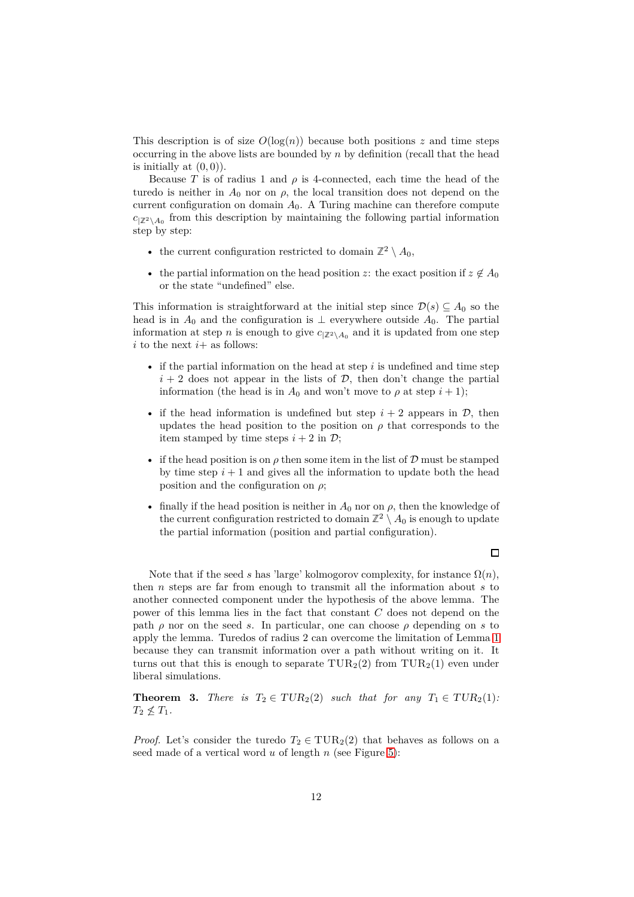This description is of size  $O(\log(n))$  because both positions *z* and time steps occurring in the above lists are bounded by *n* by definition (recall that the head is initially at  $(0, 0)$ ).

Because *T* is of radius 1 and  $\rho$  is 4-connected, each time the head of the turedo is neither in  $A_0$  nor on  $\rho$ , the local transition does not depend on the current configuration on domain  $A_0$ . A Turing machine can therefore compute  $c_{\mid \mathbb{Z}^2 \setminus A_0}$  from this description by maintaining the following partial information step by step:

- the current configuration restricted to domain  $\mathbb{Z}^2 \setminus A_0$ ,
- the partial information on the head position *z*: the exact position if  $z \notin A_0$ or the state "undefined" else.

This information is straightforward at the initial step since  $\mathcal{D}(s) \subseteq A_0$  so the head is in  $A_0$  and the configuration is  $\perp$  everywhere outside  $A_0$ . The partial information at step *n* is enough to give  $c_{|\mathbb{Z}|^2 \setminus A_0}$  and it is updated from one step *i* to the next  $i+$  as follows:

- if the partial information on the head at step *i* is undefined and time step  $i + 2$  does not appear in the lists of  $\mathcal{D}$ , then don't change the partial information (the head is in  $A_0$  and won't move to  $\rho$  at step  $i + 1$ );
- if the head information is undefined but step  $i + 2$  appears in  $\mathcal{D}$ , then updates the head position to the position on  $\rho$  that corresponds to the item stamped by time steps  $i + 2$  in  $\mathcal{D}$ ;
- if the head position is on  $\rho$  then some item in the list of  $\mathcal D$  must be stamped by time step  $i + 1$  and gives all the information to update both the head position and the configuration on *ρ*;
- finally if the head position is neither in  $A_0$  nor on  $\rho$ , then the knowledge of the current configuration restricted to domain  $\mathbb{Z}^2 \setminus A_0$  is enough to update the partial information (position and partial configuration).

 $\Box$ 

Note that if the seed *s* has 'large' kolmogorov complexity, for instance  $\Omega(n)$ , then *n* steps are far from enough to transmit all the information about *s* to another connected component under the hypothesis of the above lemma. The power of this lemma lies in the fact that constant *C* does not depend on the path  $\rho$  nor on the seed *s*. In particular, one can choose  $\rho$  depending on *s* to apply the lemma. Turedos of radius 2 can overcome the limitation of Lemma [1](#page-10-0) because they can transmit information over a path without writing on it. It turns out that this is enough to separate  $\text{TUR}_2(2)$  from  $\text{TUR}_2(1)$  even under liberal simulations.

<span id="page-11-0"></span>**Theorem 3.** *There is*  $T_2 \in TUR_2(2)$  *such that for any*  $T_1 \in TUR_2(1)$ *:*  $T_2 \nleq T_1$ .

*Proof.* Let's consider the turedo  $T_2 \in \text{TUR}_2(2)$  that behaves as follows on a seed made of a vertical word *u* of length *n* (see Figure [5\)](#page-12-0):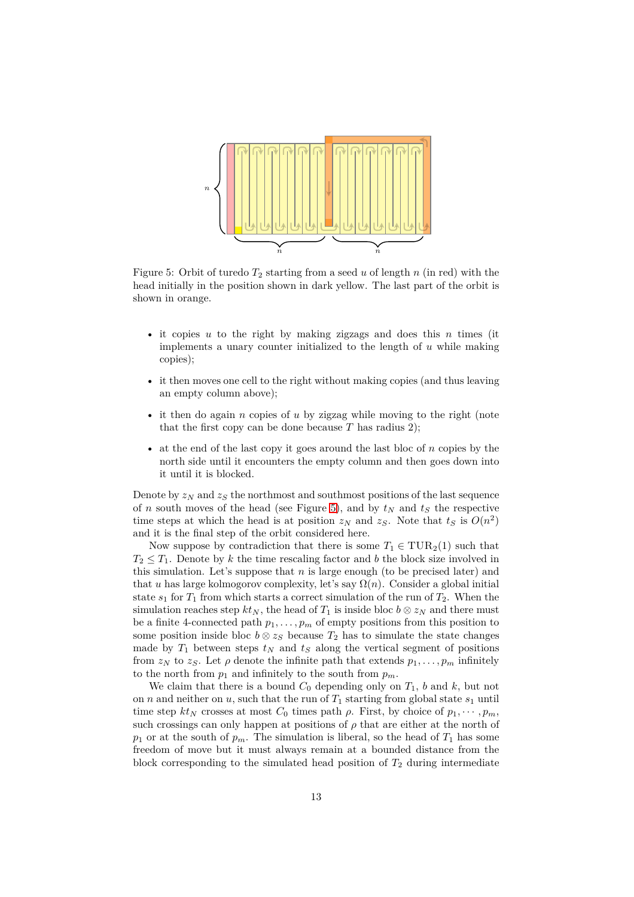<span id="page-12-0"></span>

Figure 5: Orbit of turedo  $T_2$  starting from a seed  $u$  of length  $n$  (in red) with the head initially in the position shown in dark yellow. The last part of the orbit is shown in orange.

- it copies *u* to the right by making zigzags and does this *n* times (it implements a unary counter initialized to the length of *u* while making copies);
- it then moves one cell to the right without making copies (and thus leaving an empty column above);
- it then do again *n* copies of *u* by zigzag while moving to the right (note that the first copy can be done because  $T$  has radius 2);
- at the end of the last copy it goes around the last bloc of *n* copies by the north side until it encounters the empty column and then goes down into it until it is blocked.

Denote by  $z_N$  and  $z_S$  the northmost and southmost positions of the last sequence of *n* south moves of the head (see Figure [5\)](#page-12-0), and by  $t<sub>N</sub>$  and  $t<sub>S</sub>$  the respective time steps at which the head is at position  $z_N$  and  $z_S$ . Note that  $t_S$  is  $O(n^2)$ and it is the final step of the orbit considered here.

Now suppose by contradiction that there is some  $T_1 \in \text{TUR}_2(1)$  such that  $T_2 \leq T_1$ . Denote by *k* the time rescaling factor and *b* the block size involved in this simulation. Let's suppose that  $n$  is large enough (to be precised later) and that *u* has large kolmogorov complexity, let's say  $\Omega(n)$ . Consider a global initial state  $s_1$  for  $T_1$  from which starts a correct simulation of the run of  $T_2$ . When the simulation reaches step  $kt_N$ , the head of  $T_1$  is inside bloc  $b \otimes z_N$  and there must be a finite 4-connected path  $p_1, \ldots, p_m$  of empty positions from this position to some position inside bloc  $b \otimes z_S$  because  $T_2$  has to simulate the state changes made by  $T_1$  between steps  $t_N$  and  $t_S$  along the vertical segment of positions from  $z_N$  to  $z_S$ . Let  $\rho$  denote the infinite path that extends  $p_1, \ldots, p_m$  infinitely to the north from  $p_1$  and infinitely to the south from  $p_m$ .

We claim that there is a bound  $C_0$  depending only on  $T_1$ ,  $b$  and  $k$ , but not on *n* and neither on *u*, such that the run of  $T_1$  starting from global state  $s_1$  until time step  $kt_N$  crosses at most  $C_0$  times path  $\rho$ . First, by choice of  $p_1, \dots, p_m$ , such crossings can only happen at positions of  $\rho$  that are either at the north of  $p_1$  or at the south of  $p_m$ . The simulation is liberal, so the head of  $T_1$  has some freedom of move but it must always remain at a bounded distance from the block corresponding to the simulated head position of  $T_2$  during intermediate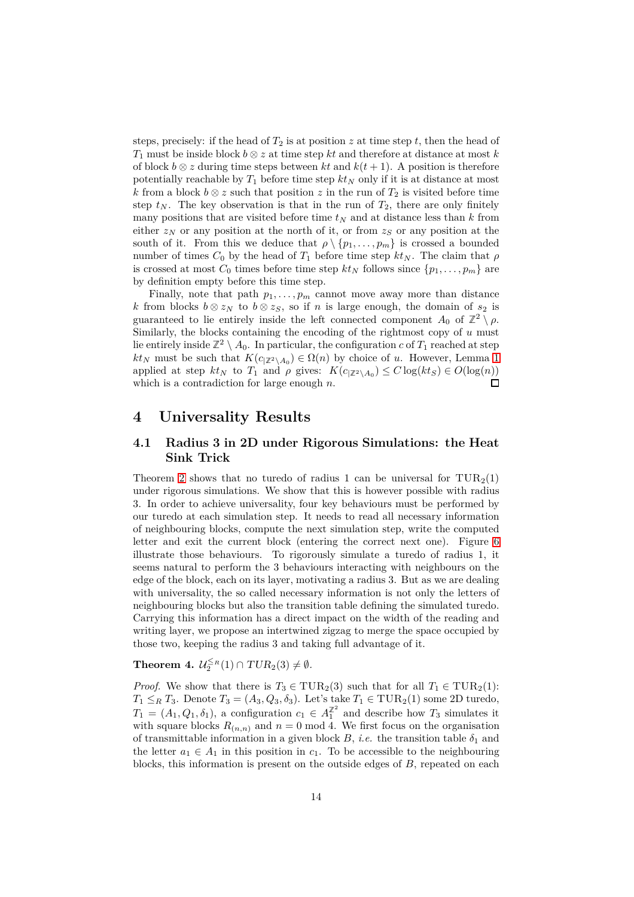steps, precisely: if the head of  $T_2$  is at position *z* at time step *t*, then the head of *T*<sup>1</sup> must be inside block *b* ⊗ *z* at time step *kt* and therefore at distance at most *k* of block  $b \otimes z$  during time steps between kt and  $k(t + 1)$ . A position is therefore potentially reachable by  $T_1$  before time step  $kt_N$  only if it is at distance at most *k* from a block  $b \otimes z$  such that position  $z$  in the run of  $T_2$  is visited before time step  $t_N$ . The key observation is that in the run of  $T_2$ , there are only finitely many positions that are visited before time  $t<sub>N</sub>$  and at distance less than  $k$  from either  $z_N$  or any position at the north of it, or from  $z_S$  or any position at the south of it. From this we deduce that  $\rho \setminus \{p_1, \ldots, p_m\}$  is crossed a bounded number of times  $C_0$  by the head of  $T_1$  before time step  $kt_N$ . The claim that  $\rho$ is crossed at most  $C_0$  times before time step  $kt_N$  follows since  $\{p_1, \ldots, p_m\}$  are by definition empty before this time step.

Finally, note that path  $p_1, \ldots, p_m$  cannot move away more than distance *k* from blocks *b* ⊗ *z*<sub>*N*</sub> to *b* ⊗ *z*<sub>*S*</sub>, so if *n* is large enough, the domain of *s*<sub>2</sub> is guaranteed to lie entirely inside the left connected component  $A_0$  of  $\mathbb{Z}^2 \setminus \rho$ . Similarly, the blocks containing the encoding of the rightmost copy of *u* must lie entirely inside  $\mathbb{Z}^2 \setminus A_0$ . In particular, the configuration *c* of  $T_1$  reached at step  $kt_N$  must be such that  $K(c_{\vert \mathbb{Z}^2 \setminus A_0}) \in \Omega(n)$  by choice of *u*. However, Lemma [1](#page-10-0) applied at step  $kt_N$  to  $T_1$  and  $\rho$  gives:  $K(c_{\vert \mathbb{Z}^2 \setminus A_0}) \leq C \log(kt_S) \in O(\log(n))$ which is a contradiction for large enough *n*.  $\Box$ 

### <span id="page-13-0"></span>**4 Universality Results**

### **4.1 Radius 3 in 2D under Rigorous Simulations: the Heat Sink Trick**

Theorem [2](#page-8-0) shows that no turedo of radius 1 can be universal for  $\text{TUR}_2(1)$ under rigorous simulations. We show that this is however possible with radius 3. In order to achieve universality, four key behaviours must be performed by our turedo at each simulation step. It needs to read all necessary information of neighbouring blocks, compute the next simulation step, write the computed letter and exit the current block (entering the correct next one). Figure [6](#page-14-0) illustrate those behaviours. To rigorously simulate a turedo of radius 1, it seems natural to perform the 3 behaviours interacting with neighbours on the edge of the block, each on its layer, motivating a radius 3. But as we are dealing with universality, the so called necessary information is not only the letters of neighbouring blocks but also the transition table defining the simulated turedo. Carrying this information has a direct impact on the width of the reading and writing layer, we propose an intertwined zigzag to merge the space occupied by those two, keeping the radius 3 and taking full advantage of it.

<span id="page-13-1"></span>**Theorem 4.**  $\mathcal{U}_2^{\leq R}(1) \cap TUR_2(3) \neq \emptyset$ .

*Proof.* We show that there is  $T_3 \in \text{TUR}_2(3)$  such that for all  $T_1 \in \text{TUR}_2(1)$ :  $T_1 \leq_R T_3$ . Denote  $T_3 = (A_3, Q_3, \delta_3)$ . Let's take  $T_1 \in \text{TUR}_2(1)$  some 2D turedo,  $T_1 = (A_1, Q_1, \delta_1)$ , a configuration  $c_1 \in A_1^{\mathbb{Z}^2}$  $\frac{1}{1}$  and describe how  $T_3$  simulates it with square blocks  $R_{(n,n)}$  and  $n=0 \text{ mod } 4$ . We first focus on the organisation of transmittable information in a given block  $B$ , *i.e.* the transition table  $\delta_1$  and the letter  $a_1 \in A_1$  in this position in  $c_1$ . To be accessible to the neighbouring blocks, this information is present on the outside edges of *B*, repeated on each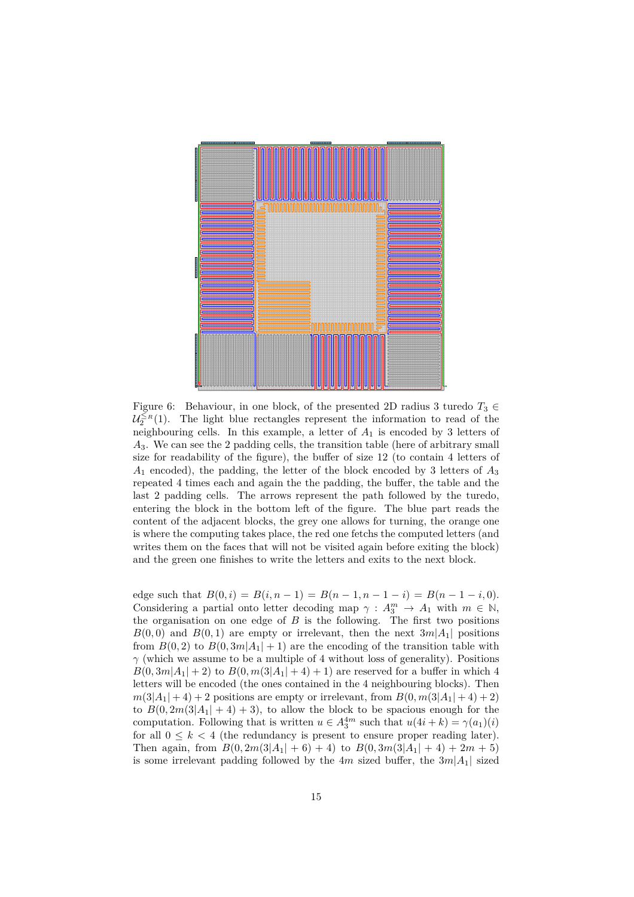<span id="page-14-0"></span>

Figure 6: Behaviour, in one block, of the presented 2D radius 3 turedo  $T_3 \in$  $\mathcal{U}_2^{\leq R}(1)$ . The light blue rectangles represent the information to read of the neighbouring cells. In this example, a letter of *A*<sup>1</sup> is encoded by 3 letters of *A*3. We can see the 2 padding cells, the transition table (here of arbitrary small size for readability of the figure), the buffer of size 12 (to contain 4 letters of *A*<sup>1</sup> encoded), the padding, the letter of the block encoded by 3 letters of *A*<sup>3</sup> repeated 4 times each and again the the padding, the buffer, the table and the last 2 padding cells. The arrows represent the path followed by the turedo, entering the block in the bottom left of the figure. The blue part reads the content of the adjacent blocks, the grey one allows for turning, the orange one is where the computing takes place, the red one fetchs the computed letters (and writes them on the faces that will not be visited again before exiting the block) and the green one finishes to write the letters and exits to the next block.

edge such that  $B(0, i) = B(i, n - 1) = B(n - 1, n - 1 - i) = B(n - 1 - i, 0).$ Considering a partial onto letter decoding map  $\gamma: A_3^m \to A_1$  with  $m \in \mathbb{N}$ , the organisation on one edge of  $B$  is the following. The first two positions  $B(0,0)$  and  $B(0,1)$  are empty or irrelevant, then the next  $3m|A_1|$  positions from  $B(0,2)$  to  $B(0,3m|A_1|+1)$  are the encoding of the transition table with *γ* (which we assume to be a multiple of 4 without loss of generality). Positions  $B(0,3m|A_1|+2)$  to  $B(0,m(3|A_1|+4)+1)$  are reserved for a buffer in which 4 letters will be encoded (the ones contained in the 4 neighbouring blocks). Then  $m(3|A_1| + 4) + 2$  positions are empty or irrelevant, from  $B(0, m(3|A_1| + 4) + 2)$ to  $B(0, 2m(3|A_1| + 4) + 3)$ , to allow the block to be spacious enough for the computation. Following that is written  $u \in A_3^{4m}$  such that  $u(4i + k) = \gamma(a_1)(i)$ for all  $0 \leq k < 4$  (the redundancy is present to ensure proper reading later). Then again, from  $B(0, 2m(3|A_1| + 6) + 4)$  to  $B(0, 3m(3|A_1| + 4) + 2m + 5)$ is some irrelevant padding followed by the  $4m$  sized buffer, the  $3m|A_1|$  sized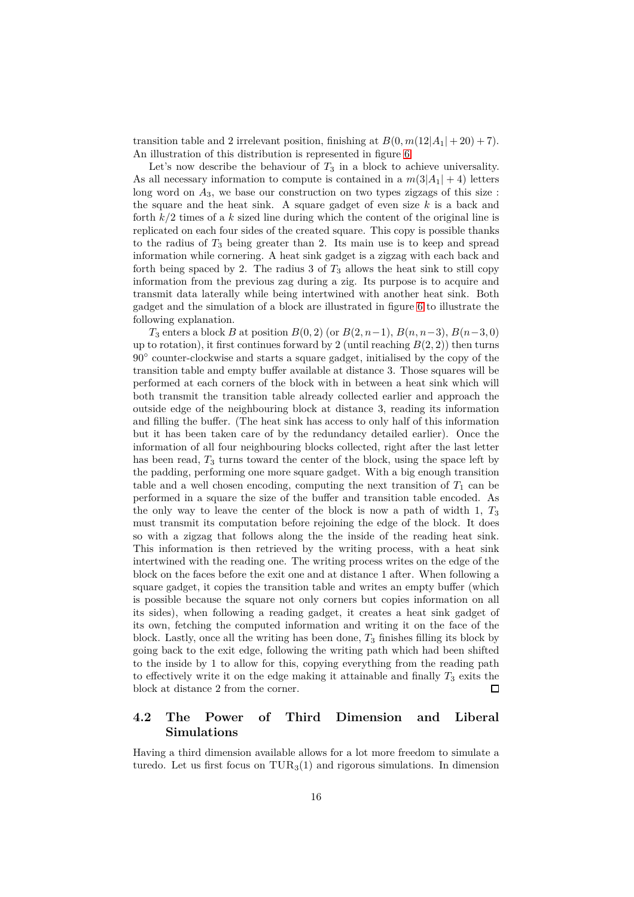transition table and 2 irrelevant position, finishing at  $B(0, m(12|A_1| + 20) + 7)$ . An illustration of this distribution is represented in figure [6.](#page-14-0)

Let's now describe the behaviour of  $T_3$  in a block to achieve universality. As all necessary information to compute is contained in a  $m(3|A_1| + 4)$  letters long word on  $A_3$ , we base our construction on two types zigzags of this size: the square and the heat sink. A square gadget of even size *k* is a back and forth *k/*2 times of a *k* sized line during which the content of the original line is replicated on each four sides of the created square. This copy is possible thanks to the radius of  $T_3$  being greater than 2. Its main use is to keep and spread information while cornering. A heat sink gadget is a zigzag with each back and forth being spaced by 2. The radius  $3$  of  $T_3$  allows the heat sink to still copy information from the previous zag during a zig. Its purpose is to acquire and transmit data laterally while being intertwined with another heat sink. Both gadget and the simulation of a block are illustrated in figure [6](#page-14-0) to illustrate the following explanation.

*T*<sub>3</sub> enters a block *B* at position  $B(0, 2)$  (or  $B(2, n-1)$ ,  $B(n, n-3)$ ,  $B(n-3, 0)$ ) up to rotation), it first continues forward by 2 (until reaching  $B(2, 2)$ ) then turns 90◦ counter-clockwise and starts a square gadget, initialised by the copy of the transition table and empty buffer available at distance 3. Those squares will be performed at each corners of the block with in between a heat sink which will both transmit the transition table already collected earlier and approach the outside edge of the neighbouring block at distance 3, reading its information and filling the buffer. (The heat sink has access to only half of this information but it has been taken care of by the redundancy detailed earlier). Once the information of all four neighbouring blocks collected, right after the last letter has been read,  $T_3$  turns toward the center of the block, using the space left by the padding, performing one more square gadget. With a big enough transition table and a well chosen encoding, computing the next transition of  $T_1$  can be performed in a square the size of the buffer and transition table encoded. As the only way to leave the center of the block is now a path of width 1, *T*<sup>3</sup> must transmit its computation before rejoining the edge of the block. It does so with a zigzag that follows along the the inside of the reading heat sink. This information is then retrieved by the writing process, with a heat sink intertwined with the reading one. The writing process writes on the edge of the block on the faces before the exit one and at distance 1 after. When following a square gadget, it copies the transition table and writes an empty buffer (which is possible because the square not only corners but copies information on all its sides), when following a reading gadget, it creates a heat sink gadget of its own, fetching the computed information and writing it on the face of the block. Lastly, once all the writing has been done,  $T_3$  finishes filling its block by going back to the exit edge, following the writing path which had been shifted to the inside by 1 to allow for this, copying everything from the reading path to effectively write it on the edge making it attainable and finally  $T_3$  exits the block at distance 2 from the corner.  $\Box$ 

# **4.2 The Power of Third Dimension and Liberal Simulations**

Having a third dimension available allows for a lot more freedom to simulate a turedo. Let us first focus on  $\text{TUR}_3(1)$  and rigorous simulations. In dimension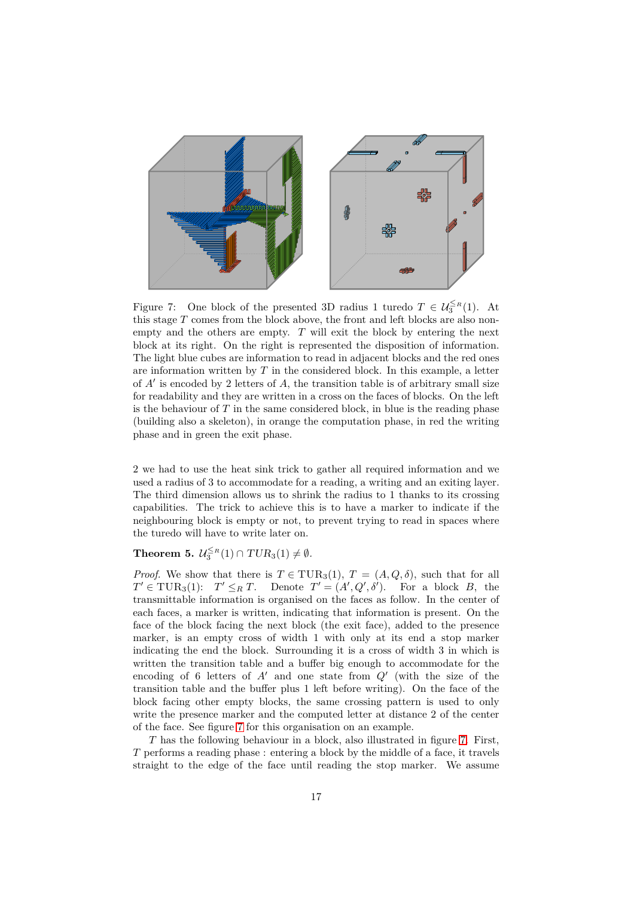<span id="page-16-1"></span>

Figure 7: One block of the presented 3D radius 1 turedo  $T \in \mathcal{U}_3^{\leq R}(1)$ . At this stage *T* comes from the block above, the front and left blocks are also nonempty and the others are empty. *T* will exit the block by entering the next block at its right. On the right is represented the disposition of information. The light blue cubes are information to read in adjacent blocks and the red ones are information written by *T* in the considered block. In this example, a letter of *A*′ is encoded by 2 letters of *A*, the transition table is of arbitrary small size for readability and they are written in a cross on the faces of blocks. On the left is the behaviour of *T* in the same considered block, in blue is the reading phase (building also a skeleton), in orange the computation phase, in red the writing phase and in green the exit phase.

2 we had to use the heat sink trick to gather all required information and we used a radius of 3 to accommodate for a reading, a writing and an exiting layer. The third dimension allows us to shrink the radius to 1 thanks to its crossing capabilities. The trick to achieve this is to have a marker to indicate if the neighbouring block is empty or not, to prevent trying to read in spaces where the turedo will have to write later on.

# <span id="page-16-0"></span>**Theorem 5.**  $\mathcal{U}_3^{\leq R}(1) \cap TUR_3(1) \neq \emptyset$ .

*Proof.* We show that there is  $T \in TUR_3(1)$ ,  $T = (A, Q, \delta)$ , such that for all  $T' \in \text{TUR}_3(1)$ :  $T' \leq_R T$ . Denote  $T' = (A', Q', \delta')$ . For a block *B*, the transmittable information is organised on the faces as follow. In the center of each faces, a marker is written, indicating that information is present. On the face of the block facing the next block (the exit face), added to the presence marker, is an empty cross of width 1 with only at its end a stop marker indicating the end the block. Surrounding it is a cross of width 3 in which is written the transition table and a buffer big enough to accommodate for the encoding of 6 letters of *A*′ and one state from *Q*′ (with the size of the transition table and the buffer plus 1 left before writing). On the face of the block facing other empty blocks, the same crossing pattern is used to only write the presence marker and the computed letter at distance 2 of the center of the face. See figure [7](#page-16-1) for this organisation on an example.

*T* has the following behaviour in a block, also illustrated in figure [7.](#page-16-1) First, *T* performs a reading phase : entering a block by the middle of a face, it travels straight to the edge of the face until reading the stop marker. We assume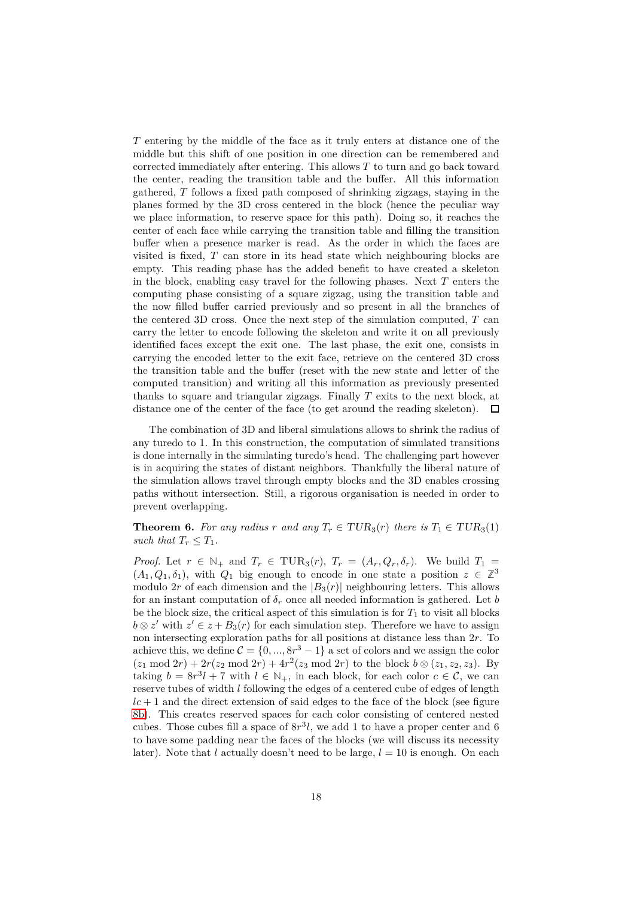*T* entering by the middle of the face as it truly enters at distance one of the middle but this shift of one position in one direction can be remembered and corrected immediately after entering. This allows *T* to turn and go back toward the center, reading the transition table and the buffer. All this information gathered, *T* follows a fixed path composed of shrinking zigzags, staying in the planes formed by the 3D cross centered in the block (hence the peculiar way we place information, to reserve space for this path). Doing so, it reaches the center of each face while carrying the transition table and filling the transition buffer when a presence marker is read. As the order in which the faces are visited is fixed, *T* can store in its head state which neighbouring blocks are empty. This reading phase has the added benefit to have created a skeleton in the block, enabling easy travel for the following phases. Next *T* enters the computing phase consisting of a square zigzag, using the transition table and the now filled buffer carried previously and so present in all the branches of the centered 3D cross. Once the next step of the simulation computed, *T* can carry the letter to encode following the skeleton and write it on all previously identified faces except the exit one. The last phase, the exit one, consists in carrying the encoded letter to the exit face, retrieve on the centered 3D cross the transition table and the buffer (reset with the new state and letter of the computed transition) and writing all this information as previously presented thanks to square and triangular zigzags. Finally *T* exits to the next block, at distance one of the center of the face (to get around the reading skeleton).  $\Box$ 

The combination of 3D and liberal simulations allows to shrink the radius of any turedo to 1. In this construction, the computation of simulated transitions is done internally in the simulating turedo's head. The challenging part however is in acquiring the states of distant neighbors. Thankfully the liberal nature of the simulation allows travel through empty blocks and the 3D enables crossing paths without intersection. Still, a rigorous organisation is needed in order to prevent overlapping.

<span id="page-17-0"></span>**Theorem 6.** For any radius r and any  $T_r \in TUR_3(r)$  there is  $T_1 \in TUR_3(1)$ *such that*  $T_r \leq T_1$ *.* 

*Proof.* Let  $r \in \mathbb{N}_+$  and  $T_r \in \text{TUR}_3(r)$ ,  $T_r = (A_r, Q_r, \delta_r)$ . We build  $T_1 =$  $(A_1, Q_1, \delta_1)$ , with  $Q_1$  big enough to encode in one state a position  $z \in \mathbb{Z}^3$ modulo 2*r* of each dimension and the  $|B_3(r)|$  neighbouring letters. This allows for an instant computation of  $\delta_r$  once all needed information is gathered. Let *b* be the block size, the critical aspect of this simulation is for  $T_1$  to visit all blocks  $b \otimes z'$  with  $z' \in z + B_3(r)$  for each simulation step. Therefore we have to assign non intersecting exploration paths for all positions at distance less than 2*r*. To achieve this, we define  $C = \{0, ..., 8r^3 - 1\}$  a set of colors and we assign the color  $(z_1 \mod 2r) + 2r(z_2 \mod 2r) + 4r^2(z_3 \mod 2r)$  to the block  $b \otimes (z_1, z_2, z_3)$ . By taking  $b = 8r^3l + 7$  with  $l \in \mathbb{N}_+$ , in each block, for each color  $c \in \mathcal{C}$ , we can reserve tubes of width *l* following the edges of a centered cube of edges of length  $lc + 1$  and the direct extension of said edges to the face of the block (see figure [8b\)](#page-18-2). This creates reserved spaces for each color consisting of centered nested cubes. Those cubes fill a space of  $8r^3l$ , we add 1 to have a proper center and 6 to have some padding near the faces of the blocks (we will discuss its necessity later). Note that *l* actually doesn't need to be large,  $l = 10$  is enough. On each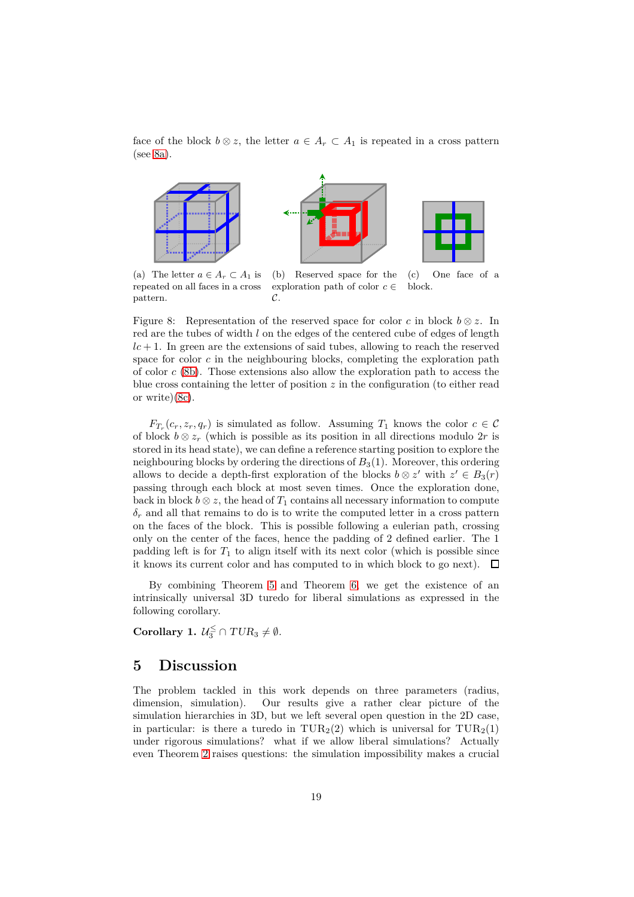face of the block  $b \otimes z$ , the letter  $a \in A_r \subset A_1$  is repeated in a cross pattern (see [8a\)](#page-18-2).

<span id="page-18-2"></span>

(a) The letter  $a \in A_r \subset A_1$  is repeated on all faces in a cross pattern.

(b) Reserved space for the exploration path of color  $c \in$ (c) One face of a block.

Figure 8: Representation of the reserved space for color *c* in block  $b \otimes z$ . In red are the tubes of width *l* on the edges of the centered cube of edges of length  $lc + 1$ . In green are the extensions of said tubes, allowing to reach the reserved space for color  $c$  in the neighbouring blocks, completing the exploration path of color *c* [\(8b\)](#page-18-2). Those extensions also allow the exploration path to access the blue cross containing the letter of position *z* in the configuration (to either read or write)[\(8c\)](#page-18-2).

 $\mathcal{C}$ 

 $F_{T_r}(c_r, z_r, q_r)$  is simulated as follow. Assuming  $T_1$  knows the color  $c \in \mathcal{C}$ of block  $b \otimes z_r$  (which is possible as its position in all directions modulo 2*r* is stored in its head state), we can define a reference starting position to explore the neighbouring blocks by ordering the directions of  $B_3(1)$ . Moreover, this ordering allows to decide a depth-first exploration of the blocks  $b \otimes z'$  with  $z' \in B_3(r)$ passing through each block at most seven times. Once the exploration done, back in block  $b \otimes z$ , the head of  $T_1$  contains all necessary information to compute  $\delta_r$  and all that remains to do is to write the computed letter in a cross pattern on the faces of the block. This is possible following a eulerian path, crossing only on the center of the faces, hence the padding of 2 defined earlier. The 1 padding left is for  $T_1$  to align itself with its next color (which is possible since it knows its current color and has computed to in which block to go next).  $\Box$ 

By combining Theorem [5](#page-16-0) and Theorem [6,](#page-17-0) we get the existence of an intrinsically universal 3D turedo for liberal simulations as expressed in the following corollary.

<span id="page-18-0"></span>**Corollary 1.**  $\mathcal{U}_3^{\leq} \cap TUR_3 \neq \emptyset$ .

# <span id="page-18-1"></span>**5 Discussion**

The problem tackled in this work depends on three parameters (radius, dimension, simulation). Our results give a rather clear picture of the simulation hierarchies in 3D, but we left several open question in the 2D case, in particular: is there a turedo in  $TUR_2(2)$  which is universal for  $TUR_2(1)$ under rigorous simulations? what if we allow liberal simulations? Actually even Theorem [2](#page-8-0) raises questions: the simulation impossibility makes a crucial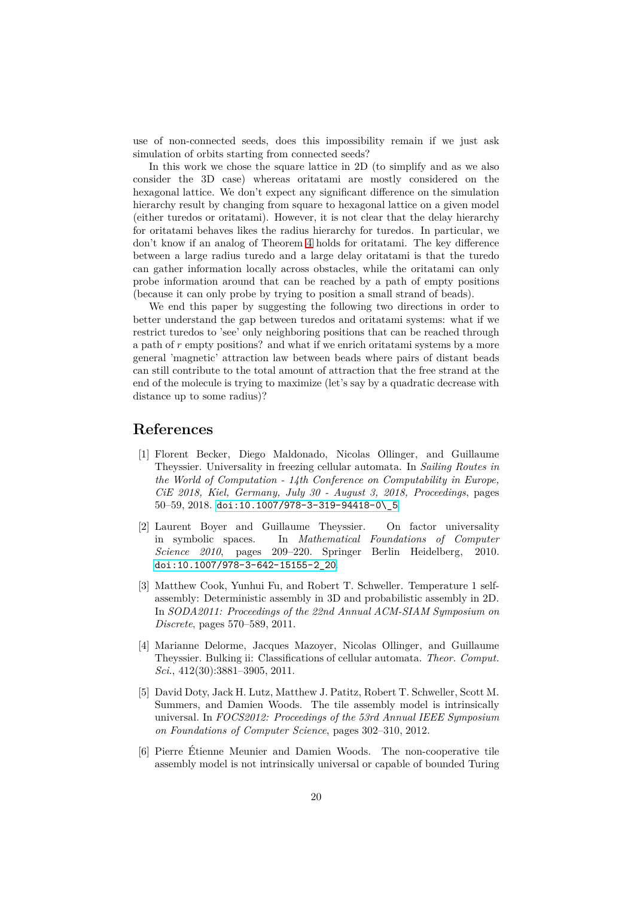use of non-connected seeds, does this impossibility remain if we just ask simulation of orbits starting from connected seeds?

In this work we chose the square lattice in 2D (to simplify and as we also consider the 3D case) whereas oritatami are mostly considered on the hexagonal lattice. We don't expect any significant difference on the simulation hierarchy result by changing from square to hexagonal lattice on a given model (either turedos or oritatami). However, it is not clear that the delay hierarchy for oritatami behaves likes the radius hierarchy for turedos. In particular, we don't know if an analog of Theorem [4](#page-13-1) holds for oritatami. The key difference between a large radius turedo and a large delay oritatami is that the turedo can gather information locally across obstacles, while the oritatami can only probe information around that can be reached by a path of empty positions (because it can only probe by trying to position a small strand of beads).

We end this paper by suggesting the following two directions in order to better understand the gap between turedos and oritatami systems: what if we restrict turedos to 'see' only neighboring positions that can be reached through a path of *r* empty positions? and what if we enrich oritatami systems by a more general 'magnetic' attraction law between beads where pairs of distant beads can still contribute to the total amount of attraction that the free strand at the end of the molecule is trying to maximize (let's say by a quadratic decrease with distance up to some radius)?

# <span id="page-19-2"></span>**References**

- [1] Florent Becker, Diego Maldonado, Nicolas Ollinger, and Guillaume Theyssier. Universality in freezing cellular automata. In *Sailing Routes in the World of Computation - 14th Conference on Computability in Europe, CiE 2018, Kiel, Germany, July 30 - August 3, 2018, Proceedings*, pages 50–59, 2018. [doi:10.1007/978-3-319-94418-0\\\_5](https://doi.org/10.1007/978-3-319-94418-0_5).
- <span id="page-19-5"></span>[2] Laurent Boyer and Guillaume Theyssier. On factor universality in symbolic spaces. In *Mathematical Foundations of Computer Science 2010*, pages 209–220. Springer Berlin Heidelberg, 2010. [doi:10.1007/978-3-642-15155-2\\_20](https://doi.org/10.1007/978-3-642-15155-2_20).
- <span id="page-19-0"></span>[3] Matthew Cook, Yunhui Fu, and Robert T. Schweller. Temperature 1 selfassembly: Deterministic assembly in 3D and probabilistic assembly in 2D. In *SODA2011: Proceedings of the 22nd Annual ACM-SIAM Symposium on Discrete*, pages 570–589, 2011.
- <span id="page-19-1"></span>[4] Marianne Delorme, Jacques Mazoyer, Nicolas Ollinger, and Guillaume Theyssier. Bulking ii: Classifications of cellular automata. *Theor. Comput. Sci.*, 412(30):3881–3905, 2011.
- <span id="page-19-4"></span>[5] David Doty, Jack H. Lutz, Matthew J. Patitz, Robert T. Schweller, Scott M. Summers, and Damien Woods. The tile assembly model is intrinsically universal. In *FOCS2012: Proceedings of the 53rd Annual IEEE Symposium on Foundations of Computer Science*, pages 302–310, 2012.
- <span id="page-19-3"></span>[6] Pierre Étienne Meunier and Damien Woods. The non-cooperative tile assembly model is not intrinsically universal or capable of bounded Turing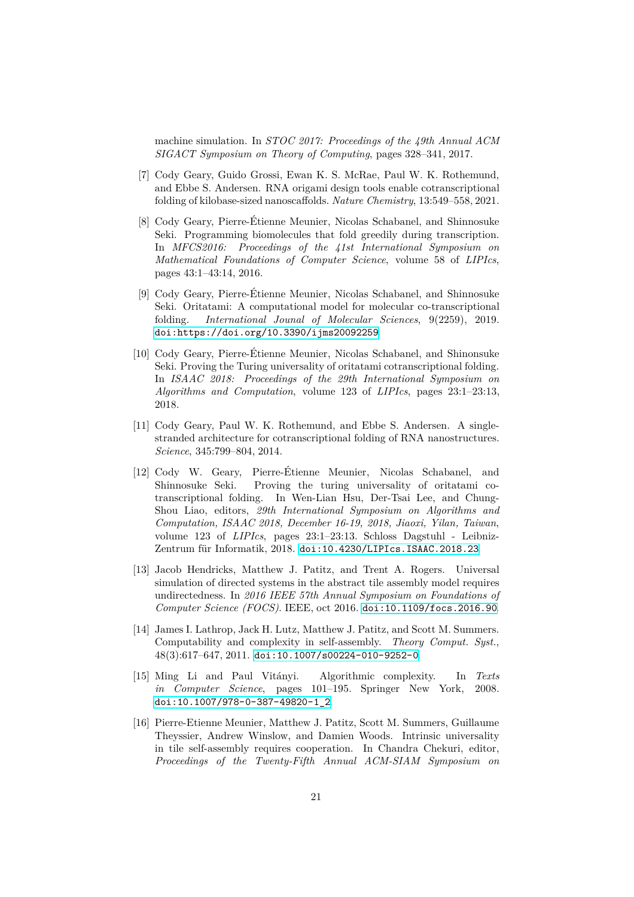machine simulation. In *STOC 2017: Proceedings of the 49th Annual ACM SIGACT Symposium on Theory of Computing*, pages 328–341, 2017.

- <span id="page-20-3"></span>[7] Cody Geary, Guido Grossi, Ewan K. S. McRae, Paul W. K. Rothemund, and Ebbe S. Andersen. RNA origami design tools enable cotranscriptional folding of kilobase-sized nanoscaffolds. *Nature Chemistry*, 13:549–558, 2021.
- <span id="page-20-1"></span>[8] Cody Geary, Pierre-Étienne Meunier, Nicolas Schabanel, and Shinnosuke Seki. Programming biomolecules that fold greedily during transcription. In *MFCS2016: Proceedings of the 41st International Symposium on Mathematical Foundations of Computer Science*, volume 58 of *LIPIcs*, pages 43:1–43:14, 2016.
- <span id="page-20-0"></span>[9] Cody Geary, Pierre-Étienne Meunier, Nicolas Schabanel, and Shinnosuke Seki. Oritatami: A computational model for molecular co-transcriptional folding. *International Jounal of Molecular Sciences*, 9(2259), 2019. [doi:https://doi.org/10.3390/ijms20092259](https://doi.org/https://doi.org/10.3390/ijms20092259).
- <span id="page-20-4"></span>[10] Cody Geary, Pierre-Étienne Meunier, Nicolas Schabanel, and Shinonsuke Seki. Proving the Turing universality of oritatami cotranscriptional folding. In *ISAAC 2018: Proceedings of the 29th International Symposium on Algorithms and Computation*, volume 123 of *LIPIcs*, pages 23:1–23:13, 2018.
- <span id="page-20-2"></span>[11] Cody Geary, Paul W. K. Rothemund, and Ebbe S. Andersen. A singlestranded architecture for cotranscriptional folding of RNA nanostructures. *Science*, 345:799–804, 2014.
- <span id="page-20-5"></span>[12] Cody W. Geary, Pierre-Étienne Meunier, Nicolas Schabanel, and Shinnosuke Seki. Proving the turing universality of oritatami cotranscriptional folding. In Wen-Lian Hsu, Der-Tsai Lee, and Chung-Shou Liao, editors, *29th International Symposium on Algorithms and Computation, ISAAC 2018, December 16-19, 2018, Jiaoxi, Yilan, Taiwan*, volume 123 of *LIPIcs*, pages 23:1–23:13. Schloss Dagstuhl - Leibniz-Zentrum für Informatik, 2018. [doi:10.4230/LIPIcs.ISAAC.2018.23](https://doi.org/10.4230/LIPIcs.ISAAC.2018.23).
- <span id="page-20-8"></span>[13] Jacob Hendricks, Matthew J. Patitz, and Trent A. Rogers. Universal simulation of directed systems in the abstract tile assembly model requires undirectedness. In *2016 IEEE 57th Annual Symposium on Foundations of Computer Science (FOCS)*. IEEE, oct 2016. [doi:10.1109/focs.2016.90](https://doi.org/10.1109/focs.2016.90).
- <span id="page-20-6"></span>[14] James I. Lathrop, Jack H. Lutz, Matthew J. Patitz, and Scott M. Summers. Computability and complexity in self-assembly. *Theory Comput. Syst.*, 48(3):617–647, 2011. [doi:10.1007/s00224-010-9252-0](https://doi.org/10.1007/s00224-010-9252-0).
- <span id="page-20-9"></span>[15] Ming Li and Paul Vitányi. Algorithmic complexity. In *Texts in Computer Science*, pages 101–195. Springer New York, 2008. [doi:10.1007/978-0-387-49820-1\\_2](https://doi.org/10.1007/978-0-387-49820-1_2).
- <span id="page-20-7"></span>[16] Pierre-Etienne Meunier, Matthew J. Patitz, Scott M. Summers, Guillaume Theyssier, Andrew Winslow, and Damien Woods. Intrinsic universality in tile self-assembly requires cooperation. In Chandra Chekuri, editor, *Proceedings of the Twenty-Fifth Annual ACM-SIAM Symposium on*